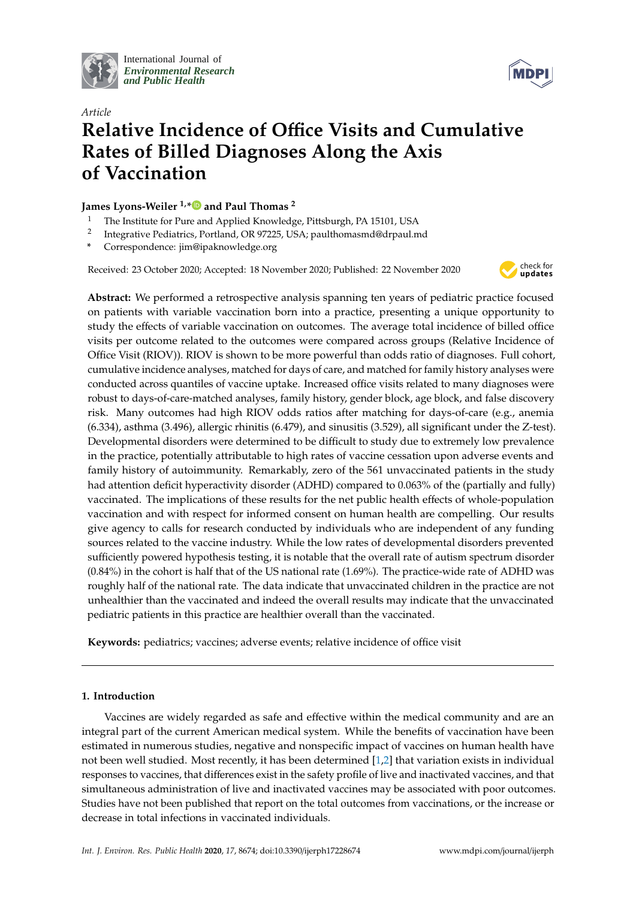

International Journal of *[Environmental Research](http://www.mdpi.com/journal/ijerph) and Public Health*



# *Article* **Relative Incidence of O**ffi**ce Visits and Cumulative Rates of Billed Diagnoses Along the Axis of Vaccination**

#### **James Lyons-Weiler 1,[\\*](https://orcid.org/0000-0001-9343-7508) and Paul Thomas <sup>2</sup>**

- <sup>1</sup> The Institute for Pure and Applied Knowledge, Pittsburgh, PA 15101, USA
- 2 Integrative Pediatrics, Portland, OR 97225, USA; paulthomasmd@drpaul.md
- **\*** Correspondence: jim@ipaknowledge.org

Received: 23 October 2020; Accepted: 18 November 2020; Published: 22 November 2020



**Abstract:** We performed a retrospective analysis spanning ten years of pediatric practice focused on patients with variable vaccination born into a practice, presenting a unique opportunity to study the effects of variable vaccination on outcomes. The average total incidence of billed office visits per outcome related to the outcomes were compared across groups (Relative Incidence of Office Visit (RIOV)). RIOV is shown to be more powerful than odds ratio of diagnoses. Full cohort, cumulative incidence analyses, matched for days of care, and matched for family history analyses were conducted across quantiles of vaccine uptake. Increased office visits related to many diagnoses were robust to days-of-care-matched analyses, family history, gender block, age block, and false discovery risk. Many outcomes had high RIOV odds ratios after matching for days-of-care (e.g., anemia (6.334), asthma (3.496), allergic rhinitis (6.479), and sinusitis (3.529), all significant under the Z-test). Developmental disorders were determined to be difficult to study due to extremely low prevalence in the practice, potentially attributable to high rates of vaccine cessation upon adverse events and family history of autoimmunity. Remarkably, zero of the 561 unvaccinated patients in the study had attention deficit hyperactivity disorder (ADHD) compared to 0.063% of the (partially and fully) vaccinated. The implications of these results for the net public health effects of whole-population vaccination and with respect for informed consent on human health are compelling. Our results give agency to calls for research conducted by individuals who are independent of any funding sources related to the vaccine industry. While the low rates of developmental disorders prevented sufficiently powered hypothesis testing, it is notable that the overall rate of autism spectrum disorder (0.84%) in the cohort is half that of the US national rate (1.69%). The practice-wide rate of ADHD was roughly half of the national rate. The data indicate that unvaccinated children in the practice are not unhealthier than the vaccinated and indeed the overall results may indicate that the unvaccinated pediatric patients in this practice are healthier overall than the vaccinated.

**Keywords:** pediatrics; vaccines; adverse events; relative incidence of office visit

#### **1. Introduction**

Vaccines are widely regarded as safe and effective within the medical community and are an integral part of the current American medical system. While the benefits of vaccination have been estimated in numerous studies, negative and nonspecific impact of vaccines on human health have not been well studied. Most recently, it has been determined [\[1](#page-21-0)[,2\]](#page-21-1) that variation exists in individual responses to vaccines, that differences exist in the safety profile of live and inactivated vaccines, and that simultaneous administration of live and inactivated vaccines may be associated with poor outcomes. Studies have not been published that report on the total outcomes from vaccinations, or the increase or decrease in total infections in vaccinated individuals.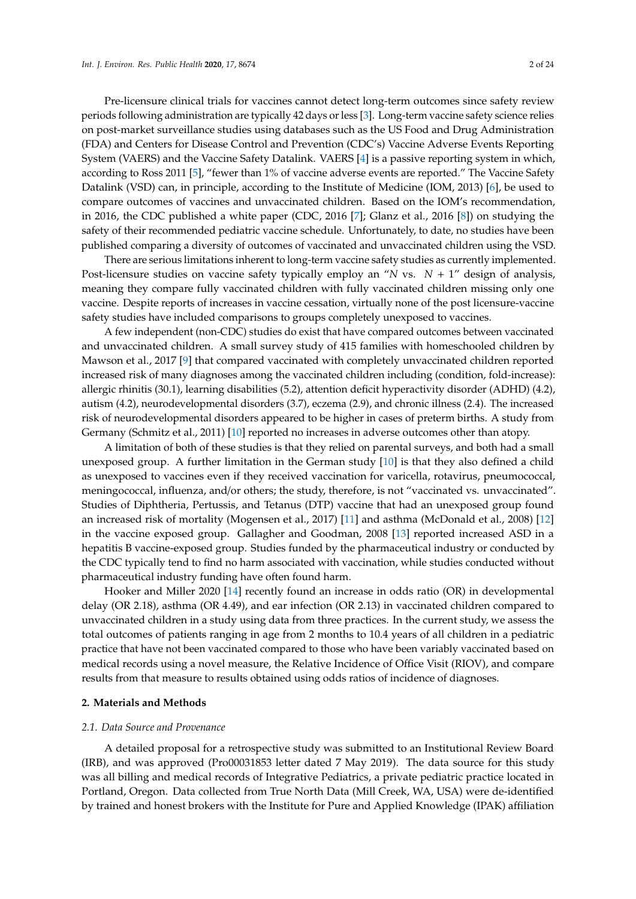Pre-licensure clinical trials for vaccines cannot detect long-term outcomes since safety review periods following administration are typically 42 days or less [\[3\]](#page-21-2). Long-term vaccine safety science relies on post-market surveillance studies using databases such as the US Food and Drug Administration (FDA) and Centers for Disease Control and Prevention (CDC's) Vaccine Adverse Events Reporting System (VAERS) and the Vaccine Safety Datalink. VAERS [\[4\]](#page-21-3) is a passive reporting system in which, according to Ross 2011 [\[5\]](#page-21-4), "fewer than 1% of vaccine adverse events are reported." The Vaccine Safety Datalink (VSD) can, in principle, according to the Institute of Medicine (IOM, 2013) [\[6\]](#page-22-0), be used to compare outcomes of vaccines and unvaccinated children. Based on the IOM's recommendation, in 2016, the CDC published a white paper (CDC, 2016 [\[7\]](#page-22-1); Glanz et al., 2016 [\[8\]](#page-22-2)) on studying the safety of their recommended pediatric vaccine schedule. Unfortunately, to date, no studies have been published comparing a diversity of outcomes of vaccinated and unvaccinated children using the VSD.

There are serious limitations inherent to long-term vaccine safety studies as currently implemented. Post-licensure studies on vaccine safety typically employ an "*N* vs. *N* + 1" design of analysis, meaning they compare fully vaccinated children with fully vaccinated children missing only one vaccine. Despite reports of increases in vaccine cessation, virtually none of the post licensure-vaccine safety studies have included comparisons to groups completely unexposed to vaccines.

A few independent (non-CDC) studies do exist that have compared outcomes between vaccinated and unvaccinated children. A small survey study of 415 families with homeschooled children by Mawson et al., 2017 [\[9\]](#page-22-3) that compared vaccinated with completely unvaccinated children reported increased risk of many diagnoses among the vaccinated children including (condition, fold-increase): allergic rhinitis (30.1), learning disabilities (5.2), attention deficit hyperactivity disorder (ADHD) (4.2), autism (4.2), neurodevelopmental disorders (3.7), eczema (2.9), and chronic illness (2.4). The increased risk of neurodevelopmental disorders appeared to be higher in cases of preterm births. A study from Germany (Schmitz et al., 2011) [\[10\]](#page-22-4) reported no increases in adverse outcomes other than atopy.

A limitation of both of these studies is that they relied on parental surveys, and both had a small unexposed group. A further limitation in the German study [\[10\]](#page-22-4) is that they also defined a child as unexposed to vaccines even if they received vaccination for varicella, rotavirus, pneumococcal, meningococcal, influenza, and/or others; the study, therefore, is not "vaccinated vs. unvaccinated". Studies of Diphtheria, Pertussis, and Tetanus (DTP) vaccine that had an unexposed group found an increased risk of mortality (Mogensen et al., 2017) [\[11\]](#page-22-5) and asthma (McDonald et al., 2008) [\[12\]](#page-22-6) in the vaccine exposed group. Gallagher and Goodman, 2008 [\[13\]](#page-22-7) reported increased ASD in a hepatitis B vaccine-exposed group. Studies funded by the pharmaceutical industry or conducted by the CDC typically tend to find no harm associated with vaccination, while studies conducted without pharmaceutical industry funding have often found harm.

Hooker and Miller 2020 [\[14\]](#page-22-8) recently found an increase in odds ratio (OR) in developmental delay (OR 2.18), asthma (OR 4.49), and ear infection (OR 2.13) in vaccinated children compared to unvaccinated children in a study using data from three practices. In the current study, we assess the total outcomes of patients ranging in age from 2 months to 10.4 years of all children in a pediatric practice that have not been vaccinated compared to those who have been variably vaccinated based on medical records using a novel measure, the Relative Incidence of Office Visit (RIOV), and compare results from that measure to results obtained using odds ratios of incidence of diagnoses.

#### **2. Materials and Methods**

#### *2.1. Data Source and Provenance*

A detailed proposal for a retrospective study was submitted to an Institutional Review Board (IRB), and was approved (Pro00031853 letter dated 7 May 2019). The data source for this study was all billing and medical records of Integrative Pediatrics, a private pediatric practice located in Portland, Oregon. Data collected from True North Data (Mill Creek, WA, USA) were de-identified by trained and honest brokers with the Institute for Pure and Applied Knowledge (IPAK) affiliation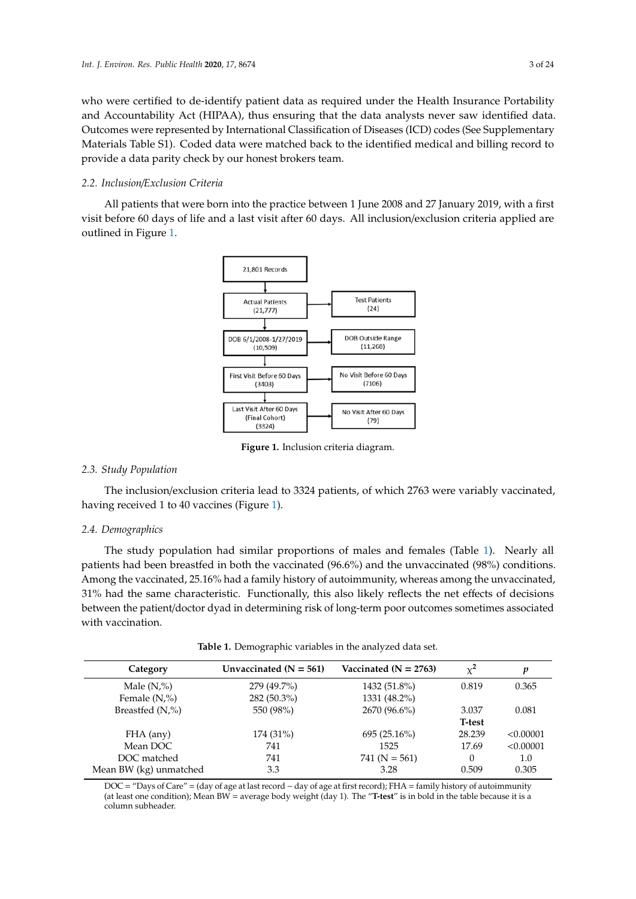who were certified to de-identify patient data as required under the Health Insurance Portability and Accountability Act (HIPAA), thus ensuring that the data analysts never saw identified data. Outcomes were represented by International Classification of Diseases (ICD) codes (See Supplementary *2.2. Inclusion/Exclusion Criteria*  Materials Table S1). Coded data were matched back to the identified medical and billing record to provide a data parity check by our honest brokers team. are outlined in Figure 1.

#### *2.2. Inclusion*/*Exclusion Criteria 2.3. Study Population*

<span id="page-2-0"></span>All patients that were born into the practice between 1 June 2008 and 27 January 2019, with a first<br>The inclusion criteria leads to 3324 patients, or which 2763 were variable which 2763 were variable which 2763 visit before 60 days of life and a last visit after 60 days. All inclusion/exclusion criteria applied are outlined in Figure [1.](#page-2-0)



**Figure 1.** Inclusion criteria diagram.

#### *2.3. Study Population*

The inclusion/exclusion criteria lead to 3324 patients, of which 2763 were variably vaccinated, having received 1 to 40 vaccines (Figure 1).

#### had been breastfed in both the vaccinated (96.6%) and the unvaccinated (98%) conditions. Among the  $v_{\rm{S}}$  and a family history of automorphisms are unvarianted,  $31/10$  had unvarianted,  $31/10$  had unvarianted,  $31/10$  had unvarianted,  $31/10$  had unvarianted,  $31/10$  had unvarianted,  $31/10$  had unvarianted,  $31/10$ *2.4. Demographics*

The study population had similar proportions of males and females (Table [1\)](#page-2-1). Nearly all patients had been breastfed in both the vaccinated  $(96.6%)$  and the unvaccinated  $(98%)$  conditions. patients had been breastica in both the vacemated (50.6%) and the anviacemated (50%) conditions.<br>Among the vaccinated, 25.16% had a family history of autoimmunity, whereas among the unvaccinated, 31% had the same characteristic. Functionally, this also likely reflects the net effects of decisions between the patient/doctor dyad in determining risk of long-term poor outcomes sometimes associated with vaccination.

<span id="page-2-1"></span>

| Category               | Unvaccinated $(N = 561)$ | Vaccinated $(N = 2763)$ | $x^2$  | p         |
|------------------------|--------------------------|-------------------------|--------|-----------|
| Male $(N,%)$           | 279 (49.7%)              | 1432 (51.8%)            | 0.819  | 0.365     |
| Female $(N,%)$         | 282 (50.3%)              | 1331 (48.2%)            |        |           |
| Breastfed $(N,%)$      | 550 (98%)                | 2670 (96.6%)            | 3.037  | 0.081     |
|                        |                          |                         | T-test |           |
| FHA (any)              | 174 (31%)                | 695(25.16%)             | 28.239 | < 0.00001 |
| Mean DOC               | 741                      | 1525                    | 17.69  | < 0.00001 |
| DOC matched            | 741                      | 741 ( $N = 561$ )       | 0      | 1.0       |
| Mean BW (kg) unmatched | 3.3                      | 3.28                    | 0.509  | 0.305     |
|                        |                          |                         |        |           |

**Table 1.** Demographic variables in the analyzed data set.

DOC = "Days of Care" = (day of age at last record − day of age at first record); FHA = family history of autoimmunity (at least one condition); Mean BW = average body weight (day 1). The "**T-test**" is in bold in the table because it is a column subheader.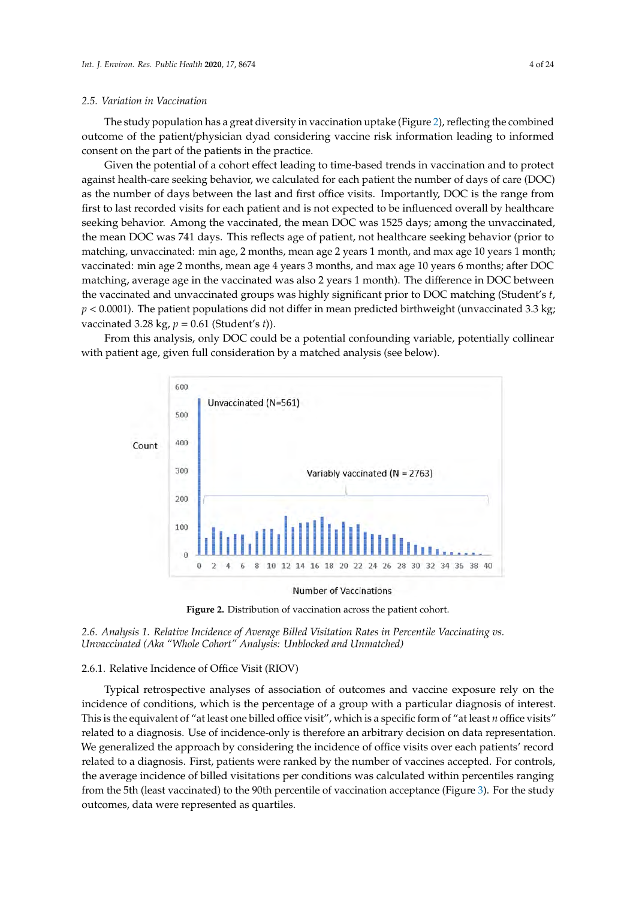#### *2.5. Variation in Vaccination*

The study population has a great diversity in vaccination uptake (Figure [2\)](#page-3-0), reflecting the combined outcome of the patient/physician dyad considering vaccine risk information leading to informed consent on the part of the patients in the practice.

Given the potential of a cohort effect leading to time-based trends in vaccination and to protect against health-care seeking behavior, we calculated for each patient the number of days of care (DOC) as the number of days between the last and first office visits. Importantly, DOC is the range from first to last recorded visits for each patient and is not expected to be influenced overall by healthcare seeking behavior. Among the vaccinated, the mean DOC was 1525 days; among the unvaccinated, the mean DOC was 741 days. This reflects age of patient, not healthcare seeking behavior (prior to matching, unvaccinated: min age, 2 months, mean age 2 years 1 month, and max age 10 years 1 month; vaccinated: min age 2 months, mean age 4 years 3 months, and max age 10 years 6 months; after DOC matching, average age in the vaccinated was also 2 years 1 month). The difference in DOC between the vaccinated and unvaccinated groups was highly significant prior to DOC matching (Student's *t*,  $p < 0.0001$ ). The patient populations did not differ in mean predicted birthweight (unvaccinated 3.3 kg; vaccinated 3.28 kg, *p* = 0.61 (Student's *t*)).

<span id="page-3-0"></span>From this analysis, only DOC could be a potential confounding variable, potentially collinear with patient age, given full consideration by a matched analysis (see below).



**Number of Vaccinations** 

**Figure 2.** Distribution of vaccination across the patient cohort.

*2.6. Analysis 1. Relative Incidence of Average Billed Visitation Rates in Percentile Vaccinating vs. Unvaccinated (Aka "Whole Cohort" Analysis: Unblocked and Unmatched)*

#### 2.6.1. Relative Incidence of Office Visit (RIOV)

Typical retrospective analyses of association of outcomes and vaccine exposure rely on the incidence of conditions, which is the percentage of a group with a particular diagnosis of interest. This is the equivalent of "at least one billed office visit", which is a specific form of "at least *n* office visits" related to a diagnosis. Use of incidence-only is therefore an arbitrary decision on data representation. We generalized the approach by considering the incidence of office visits over each patients' record related to a diagnosis. First, patients were ranked by the number of vaccines accepted. For controls, the average incidence of billed visitations per conditions was calculated within percentiles ranging from the 5th (least vaccinated) to the 90th percentile of vaccination acceptance (Figure [3\)](#page-4-0). For the study outcomes, data were represented as quartiles.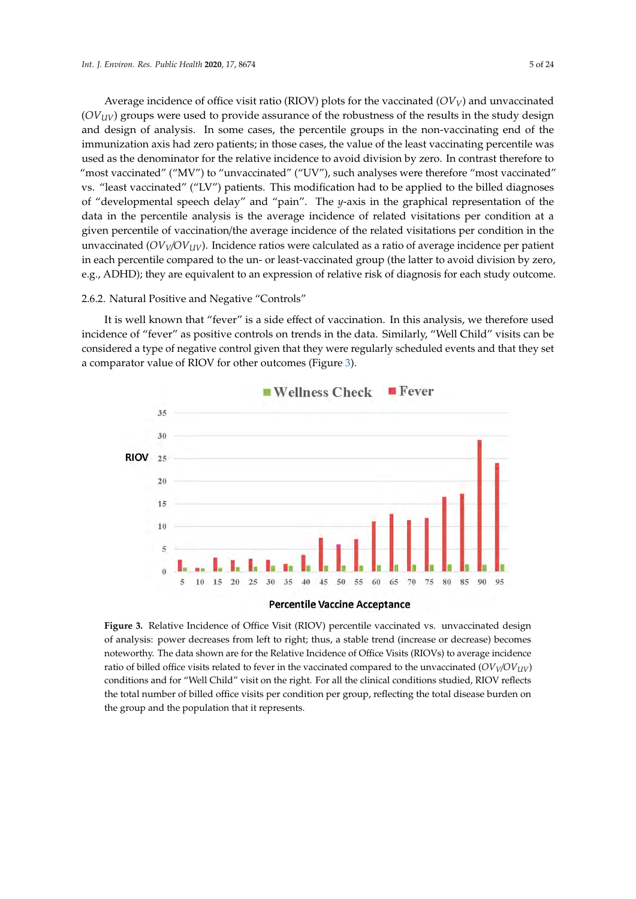Average incidence of office visit ratio (RIOV) plots for the vaccinated (*OVV*) and unvaccinated  $(OV_{UV})$  groups were used to provide assurance of the robustness of the results in the study design and design of analysis. In some cases, the percentile groups in the non-vaccinating end of the immunization axis had zero patients; in those cases, the value of the least vaccinating percentile was used as the denominator for the relative incidence to avoid division by zero. In contrast therefore to "most vaccinated" ("MV") to "unvaccinated" ("UV"), such analyses were therefore "most vaccinated"<br>Average included (*OVV*) plots for the vaccinated (*OVV*), such analyses were therefore "most vaccinated" vs. "least vaccinated" ("LV") patients. This modification had to be applied to the billed diagnoses of "developmental speech delay" and "pain". The *y*-axis in the graphical representation of the data in the percentile analysis is the average incidence of related visitations per condition at a given percentile of vaccination/the average incidence of the related visitations per condition in the unvaccinated ( $OV_V/OV_{UV}$ ). Incidence ratios were calculated as a ratio of average incidence per patient in each percentile compared to the un- or least-vaccinated group (the latter to avoid division by zero, e.g., ADHD); they are equivalent to an expression of relative risk of diagnosis for each study outcome. visits" related to a diagnosis. Use of incidence-only is therefore an arbitrary decision on data  $r_{\text{wedge}}$  includence of office visit ratio  $(\text{NUV})$  plots for the vacuulated  $(\text{UVV})$  and directionated

### 2.6.2. Natural Positive and Negative "Controls"  $\ddot{\phantom{a}}$

It is well known that "fever" is a side effect of vaccination. In this analysis, we therefore used incidence of "fever" as positive controls on trends in the data. Similarly, "Well Child" visits can be considered a type of negative control given that they were regularly scheduled events and that they set a comparator value of RIOV for other outcomes (Figure [3\)](#page-4-0).

<span id="page-4-0"></span>

of analysis: power decreases from left to right; thus, a stable trend (increase or decrease) becomes noteworthy. The data shown are for the Relative Incidence of Office Visits (RIOVs) to average incidence ratio of billed office visits related to fever in the vaccinated compared to the unvaccinated ( $OV_V$ / $OV_{UV}$ ) conditions and for "Well Child" visit on the right. For all the clinical conditions studied, RIOV reflects the total number of billed office visits per condition per group, reflecting the total disease burden on the group and the population that it represents. Figure 3. Relative Incidence of Office Visit (RIOV) percentile vaccinated vs. unvaccinated design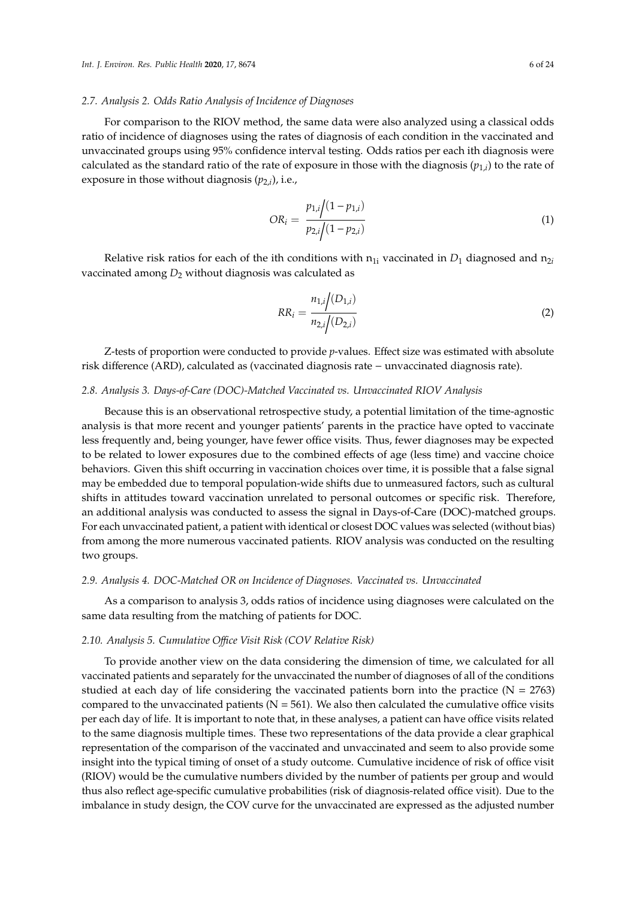#### *2.7. Analysis 2. Odds Ratio Analysis of Incidence of Diagnoses*

For comparison to the RIOV method, the same data were also analyzed using a classical odds ratio of incidence of diagnoses using the rates of diagnosis of each condition in the vaccinated and unvaccinated groups using 95% confidence interval testing. Odds ratios per each ith diagnosis were calculated as the standard ratio of the rate of exposure in those with the diagnosis  $(p_{1,i})$  to the rate of exposure in those without diagnosis (*p*2,*<sup>i</sup>* ), i.e.,

$$
OR_i = \frac{p_{1,i} \bigg( (1 - p_{1,i})}{p_{2,i} \bigg( (1 - p_{2,i}) \bigg)}
$$
(1)

Relative risk ratios for each of the ith conditions with  $n_{1i}$  vaccinated in  $D_1$  diagnosed and  $n_{2i}$ vaccinated among *D*<sup>2</sup> without diagnosis was calculated as

$$
RR_i = \frac{n_{1,i} / (D_{1,i})}{n_{2,i} / (D_{2,i})}
$$
\n(2)

Z-tests of proportion were conducted to provide *p*-values. Effect size was estimated with absolute risk difference (ARD), calculated as (vaccinated diagnosis rate − unvaccinated diagnosis rate).

#### *2.8. Analysis 3. Days-of-Care (DOC)-Matched Vaccinated vs. Unvaccinated RIOV Analysis*

Because this is an observational retrospective study, a potential limitation of the time-agnostic analysis is that more recent and younger patients' parents in the practice have opted to vaccinate less frequently and, being younger, have fewer office visits. Thus, fewer diagnoses may be expected to be related to lower exposures due to the combined effects of age (less time) and vaccine choice behaviors. Given this shift occurring in vaccination choices over time, it is possible that a false signal may be embedded due to temporal population-wide shifts due to unmeasured factors, such as cultural shifts in attitudes toward vaccination unrelated to personal outcomes or specific risk. Therefore, an additional analysis was conducted to assess the signal in Days-of-Care (DOC)-matched groups. For each unvaccinated patient, a patient with identical or closest DOC values was selected (without bias) from among the more numerous vaccinated patients. RIOV analysis was conducted on the resulting two groups.

#### *2.9. Analysis 4. DOC-Matched OR on Incidence of Diagnoses. Vaccinated vs. Unvaccinated*

As a comparison to analysis 3, odds ratios of incidence using diagnoses were calculated on the same data resulting from the matching of patients for DOC.

#### *2.10. Analysis 5. Cumulative O*ffi*ce Visit Risk (COV Relative Risk)*

To provide another view on the data considering the dimension of time, we calculated for all vaccinated patients and separately for the unvaccinated the number of diagnoses of all of the conditions studied at each day of life considering the vaccinated patients born into the practice  $(N = 2763)$ compared to the unvaccinated patients ( $N = 561$ ). We also then calculated the cumulative office visits per each day of life. It is important to note that, in these analyses, a patient can have office visits related to the same diagnosis multiple times. These two representations of the data provide a clear graphical representation of the comparison of the vaccinated and unvaccinated and seem to also provide some insight into the typical timing of onset of a study outcome. Cumulative incidence of risk of office visit (RIOV) would be the cumulative numbers divided by the number of patients per group and would thus also reflect age-specific cumulative probabilities (risk of diagnosis-related office visit). Due to the imbalance in study design, the COV curve for the unvaccinated are expressed as the adjusted number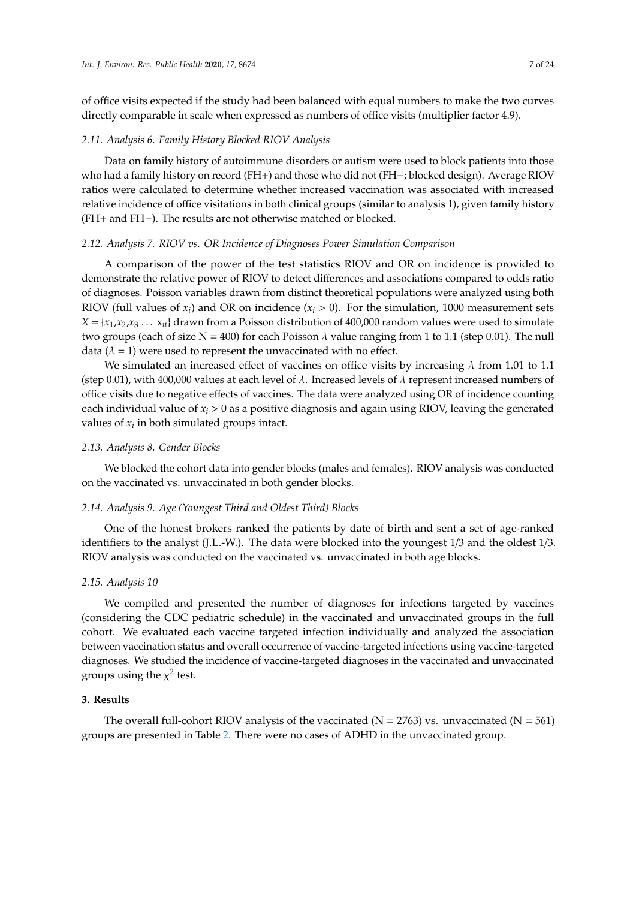of office visits expected if the study had been balanced with equal numbers to make the two curves directly comparable in scale when expressed as numbers of office visits (multiplier factor 4.9).

#### *2.11. Analysis 6. Family History Blocked RIOV Analysis*

Data on family history of autoimmune disorders or autism were used to block patients into those who had a family history on record (FH+) and those who did not (FH−; blocked design). Average RIOV ratios were calculated to determine whether increased vaccination was associated with increased relative incidence of office visitations in both clinical groups (similar to analysis 1), given family history (FH+ and FH−). The results are not otherwise matched or blocked.

#### *2.12. Analysis 7. RIOV vs. OR Incidence of Diagnoses Power Simulation Comparison*

A comparison of the power of the test statistics RIOV and OR on incidence is provided to demonstrate the relative power of RIOV to detect differences and associations compared to odds ratio of diagnoses. Poisson variables drawn from distinct theoretical populations were analyzed using both RIOV (full values of  $x_i$ ) and OR on incidence ( $x_i > 0$ ). For the simulation, 1000 measurement sets  $X = \{x_1, x_2, x_3, \dots, x_n\}$  drawn from a Poisson distribution of 400,000 random values were used to simulate two groups (each of size N = 400) for each Poisson  $\lambda$  value ranging from 1 to 1.1 (step 0.01). The null data ( $\lambda = 1$ ) were used to represent the unvaccinated with no effect.

We simulated an increased effect of vaccines on office visits by increasing  $\lambda$  from 1.01 to 1.1 (step 0.01), with 400,000 values at each level of  $\lambda$ . Increased levels of  $\lambda$  represent increased numbers of office visits due to negative effects of vaccines. The data were analyzed using OR of incidence counting each individual value of *x<sup>i</sup>* > 0 as a positive diagnosis and again using RIOV, leaving the generated values of  $x_i$  in both simulated groups intact.

#### *2.13. Analysis 8. Gender Blocks*

We blocked the cohort data into gender blocks (males and females). RIOV analysis was conducted on the vaccinated vs. unvaccinated in both gender blocks.

#### *2.14. Analysis 9. Age (Youngest Third and Oldest Third) Blocks*

One of the honest brokers ranked the patients by date of birth and sent a set of age-ranked identifiers to the analyst (J.L.-W.). The data were blocked into the youngest 1/3 and the oldest 1/3. RIOV analysis was conducted on the vaccinated vs. unvaccinated in both age blocks.

#### *2.15. Analysis 10*

We compiled and presented the number of diagnoses for infections targeted by vaccines (considering the CDC pediatric schedule) in the vaccinated and unvaccinated groups in the full cohort. We evaluated each vaccine targeted infection individually and analyzed the association between vaccination status and overall occurrence of vaccine-targeted infections using vaccine-targeted diagnoses. We studied the incidence of vaccine-targeted diagnoses in the vaccinated and unvaccinated groups using the  $\chi^2$  test.

#### **3. Results**

The overall full-cohort RIOV analysis of the vaccinated ( $N = 2763$ ) vs. unvaccinated ( $N = 561$ ) groups are presented in Table [2.](#page-7-0) There were no cases of ADHD in the unvaccinated group.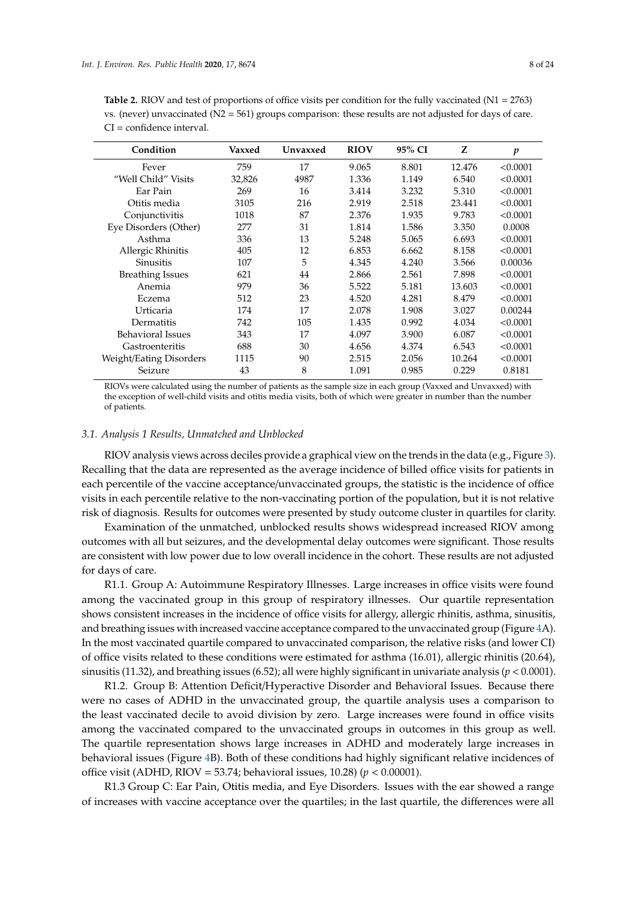<span id="page-7-0"></span>**Table 2.** RIOV and test of proportions of office visits per condition for the fully vaccinated ( $N1 = 2763$ ) vs. (never) unvaccinated ( $N2 = 561$ ) groups comparison: these results are not adjusted for days of care.  $CI = confidence interval$ 

| Condition               | Vaxxed | Unvaxxed | <b>RIOV</b> | 95% CI | Z      | $\boldsymbol{p}$ |
|-------------------------|--------|----------|-------------|--------|--------|------------------|
| Fever                   | 759    | 17       | 9.065       | 8.801  | 12.476 | < 0.0001         |
| "Well Child" Visits     | 32,826 | 4987     | 1.336       | 1.149  | 6.540  | < 0.0001         |
| Ear Pain                | 269    | 16       | 3.414       | 3.232  | 5.310  | < 0.0001         |
| Otitis media            | 3105   | 216      | 2.919       | 2.518  | 23.441 | < 0.0001         |
| Conjunctivitis          | 1018   | 87       | 2.376       | 1.935  | 9.783  | < 0.0001         |
| Eye Disorders (Other)   | 277    | 31       | 1.814       | 1.586  | 3.350  | 0.0008           |
| Asthma                  | 336    | 13       | 5.248       | 5.065  | 6.693  | < 0.0001         |
| Allergic Rhinitis       | 405    | 12       | 6.853       | 6.662  | 8.158  | < 0.0001         |
| Sinusitis               | 107    | 5        | 4.345       | 4.240  | 3.566  | 0.00036          |
| <b>Breathing Issues</b> | 621    | 44       | 2.866       | 2.561  | 7.898  | < 0.0001         |
| Anemia                  | 979    | 36       | 5.522       | 5.181  | 13.603 | < 0.0001         |
| Eczema                  | 512    | 23       | 4.520       | 4.281  | 8.479  | < 0.0001         |
| Urticaria               | 174    | 17       | 2.078       | 1.908  | 3.027  | 0.00244          |
| Dermatitis              | 742    | 105      | 1.435       | 0.992  | 4.034  | < 0.0001         |
| Behavioral Issues       | 343    | 17       | 4.097       | 3.900  | 6.087  | < 0.0001         |
| Gastroenteritis         | 688    | 30       | 4.656       | 4.374  | 6.543  | < 0.0001         |
| Weight/Eating Disorders | 1115   | 90       | 2.515       | 2.056  | 10.264 | < 0.0001         |
| Seizure                 | 43     | 8        | 1.091       | 0.985  | 0.229  | 0.8181           |

RIOVs were calculated using the number of patients as the sample size in each group (Vaxxed and Unvaxxed) with the exception of well-child visits and otitis media visits, both of which were greater in number than the number of patients.

#### *3.1. Analysis 1 Results, Unmatched and Unblocked*

RIOV analysis views across deciles provide a graphical view on the trends in the data (e.g., Figure [3\)](#page-4-0). Recalling that the data are represented as the average incidence of billed office visits for patients in each percentile of the vaccine acceptance/unvaccinated groups, the statistic is the incidence of office visits in each percentile relative to the non-vaccinating portion of the population, but it is not relative risk of diagnosis. Results for outcomes were presented by study outcome cluster in quartiles for clarity.

Examination of the unmatched, unblocked results shows widespread increased RIOV among outcomes with all but seizures, and the developmental delay outcomes were significant. Those results are consistent with low power due to low overall incidence in the cohort. These results are not adjusted for days of care.

R1.1. Group A: Autoimmune Respiratory Illnesses. Large increases in office visits were found among the vaccinated group in this group of respiratory illnesses. Our quartile representation shows consistent increases in the incidence of office visits for allergy, allergic rhinitis, asthma, sinusitis, and breathing issues with increased vaccine acceptance compared to the unvaccinated group (Figure [4A](#page-9-0)). In the most vaccinated quartile compared to unvaccinated comparison, the relative risks (and lower CI) of office visits related to these conditions were estimated for asthma (16.01), allergic rhinitis (20.64), sinusitis (11.32), and breathing issues (6.52); all were highly significant in univariate analysis (*p* < 0.0001).

R1.2. Group B: Attention Deficit/Hyperactive Disorder and Behavioral Issues. Because there were no cases of ADHD in the unvaccinated group, the quartile analysis uses a comparison to the least vaccinated decile to avoid division by zero. Large increases were found in office visits among the vaccinated compared to the unvaccinated groups in outcomes in this group as well. The quartile representation shows large increases in ADHD and moderately large increases in behavioral issues (Figure [4B](#page-9-0)). Both of these conditions had highly significant relative incidences of office visit (ADHD, RIOV = 53.74; behavioral issues, 10.28) (*p* < 0.00001).

R1.3 Group C: Ear Pain, Otitis media, and Eye Disorders. Issues with the ear showed a range of increases with vaccine acceptance over the quartiles; in the last quartile, the differences were all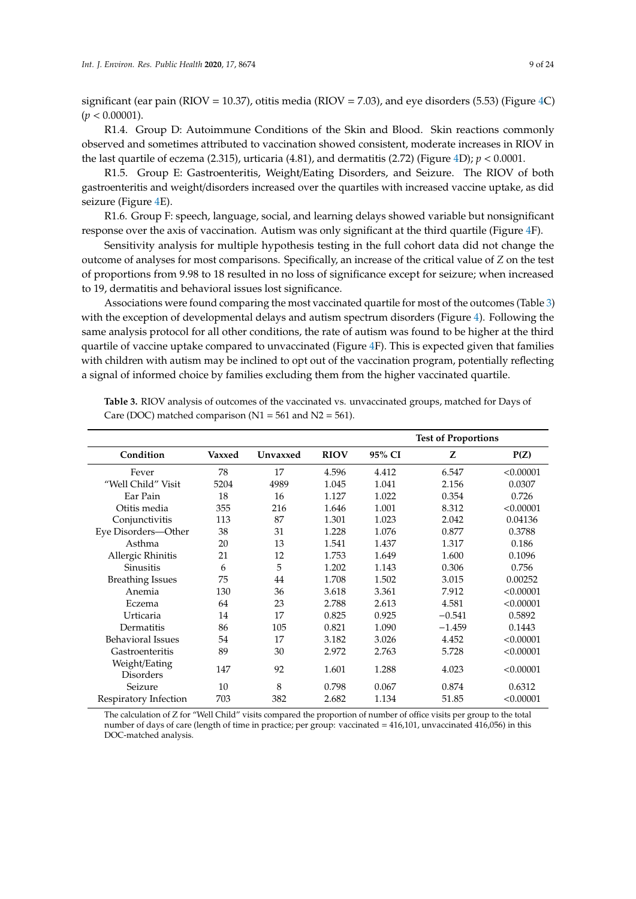significant (ear pain (RIOV = 10.37), otitis media (RIOV = 7.03), and eye disorders (5.53) (Figure [4C](#page-9-0))  $(p < 0.00001)$ .

R1.4. Group D: Autoimmune Conditions of the Skin and Blood. Skin reactions commonly observed and sometimes attributed to vaccination showed consistent, moderate increases in RIOV in the last quartile of eczema (2.315), urticaria (4.81), and dermatitis (2.72) (Figure [4D](#page-9-0)); *p* < 0.0001.

R1.5. Group E: Gastroenteritis, Weight/Eating Disorders, and Seizure. The RIOV of both gastroenteritis and weight/disorders increased over the quartiles with increased vaccine uptake, as did seizure (Figure [4E](#page-9-0)).

R1.6. Group F: speech, language, social, and learning delays showed variable but nonsignificant response over the axis of vaccination. Autism was only significant at the third quartile (Figure [4F](#page-9-0)).

Sensitivity analysis for multiple hypothesis testing in the full cohort data did not change the outcome of analyses for most comparisons. Specifically, an increase of the critical value of *Z* on the test of proportions from 9.98 to 18 resulted in no loss of significance except for seizure; when increased to 19, dermatitis and behavioral issues lost significance.

Associations were found comparing the most vaccinated quartile for most of the outcomes (Table [3\)](#page-8-0) with the exception of developmental delays and autism spectrum disorders (Figure [4\)](#page-9-0). Following the same analysis protocol for all other conditions, the rate of autism was found to be higher at the third quartile of vaccine uptake compared to unvaccinated (Figure [4F](#page-9-0)). This is expected given that families with children with autism may be inclined to opt out of the vaccination program, potentially reflecting a signal of informed choice by families excluding them from the higher vaccinated quartile.

|                            |        |          |             |        | <b>Test of Proportions</b> |           |  |
|----------------------------|--------|----------|-------------|--------|----------------------------|-----------|--|
| Condition                  | Vaxxed | Unvaxxed | <b>RIOV</b> | 95% CI | Z                          | P(Z)      |  |
| Fever                      | 78     | 17       | 4.596       | 4.412  | 6.547                      | < 0.00001 |  |
| "Well Child" Visit         | 5204   | 4989     | 1.045       | 1.041  | 2.156                      | 0.0307    |  |
| Ear Pain                   | 18     | 16       | 1.127       | 1.022  | 0.354                      | 0.726     |  |
| Otitis media               | 355    | 216      | 1.646       | 1.001  | 8.312                      | < 0.00001 |  |
| Conjunctivitis             | 113    | 87       | 1.301       | 1.023  | 2.042                      | 0.04136   |  |
| Eye Disorders-Other        | 38     | 31       | 1.228       | 1.076  | 0.877                      | 0.3788    |  |
| Asthma                     | 20     | 13       | 1.541       | 1.437  | 1.317                      | 0.186     |  |
| Allergic Rhinitis          | 21     | 12       | 1.753       | 1.649  | 1.600                      | 0.1096    |  |
| <b>Sinusitis</b>           | 6      | 5        | 1.202       | 1.143  | 0.306                      | 0.756     |  |
| <b>Breathing Issues</b>    | 75     | 44       | 1.708       | 1.502  | 3.015                      | 0.00252   |  |
| Anemia                     | 130    | 36       | 3.618       | 3.361  | 7.912                      | < 0.00001 |  |
| Eczema                     | 64     | 23       | 2.788       | 2.613  | 4.581                      | < 0.00001 |  |
| Urticaria                  | 14     | 17       | 0.825       | 0.925  | $-0.541$                   | 0.5892    |  |
| Dermatitis                 | 86     | 105      | 0.821       | 1.090  | $-1.459$                   | 0.1443    |  |
| <b>Behavioral Issues</b>   | 54     | 17       | 3.182       | 3.026  | 4.452                      | < 0.00001 |  |
| Gastroenteritis            | 89     | 30       | 2.972       | 2.763  | 5.728                      | < 0.00001 |  |
| Weight/Eating<br>Disorders | 147    | 92       | 1.601       | 1.288  | 4.023                      | < 0.00001 |  |
| Seizure                    | 10     | 8        | 0.798       | 0.067  | 0.874                      | 0.6312    |  |
| Respiratory Infection      | 703    | 382      | 2.682       | 1.134  | 51.85                      | < 0.00001 |  |

<span id="page-8-0"></span>**Table 3.** RIOV analysis of outcomes of the vaccinated vs. unvaccinated groups, matched for Days of Care (DOC) matched comparison ( $N1 = 561$  and  $N2 = 561$ ).

The calculation of Z for "Well Child" visits compared the proportion of number of office visits per group to the total number of days of care (length of time in practice; per group: vaccinated = 416,101, unvaccinated 416,056) in this DOC-matched analysis.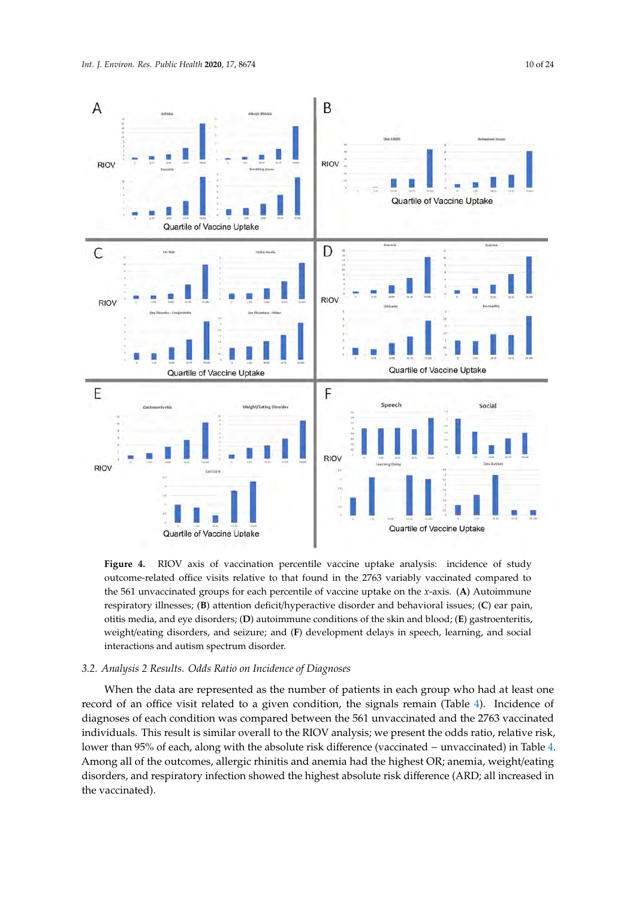<span id="page-9-0"></span>

**Figure 4.** RIOV axis of vaccination percentile vaccine uptake analysis: incidence of study outcome-related office visits relative to that found in the 2763 variably vaccinated compared to the 561 unvaccinated groups for each percentile of vaccine uptake on the *x*-axis. (**A**) Autoimmune respiratory illnesses; (**B**) attention deficit/hyperactive disorder and behavioral issues; (**C**) ear pain, otitis media, and eye disorders; (**D**) autoimmune conditions of the skin and blood; (**E**) gastroenteritis, weight/eating disorders, and seizure; and (**F**) development delays in speech, learning, and social interactions and autism spectrum disorder.

#### *3.2. Analysis 2 Results. Odds Ratio on Incidence of Diagnoses*

When the data are represented as the number of patients in each group who had at least one record of an office visit related to a given condition, the signals remain (Table [4\)](#page-10-0). Incidence of diagnoses of each condition was compared between the 561 unvaccinated and the 2763 vaccinated individuals. This result is similar overall to the RIOV analysis; we present the odds ratio, relative risk, lower than 95% of each, along with the absolute risk difference (vaccinated − unvaccinated) in Table [4.](#page-10-0) Among all of the outcomes, allergic rhinitis and anemia had the highest OR; anemia, weight/eating disorders, and respiratory infection showed the highest absolute risk difference (ARD; all increased in the vaccinated).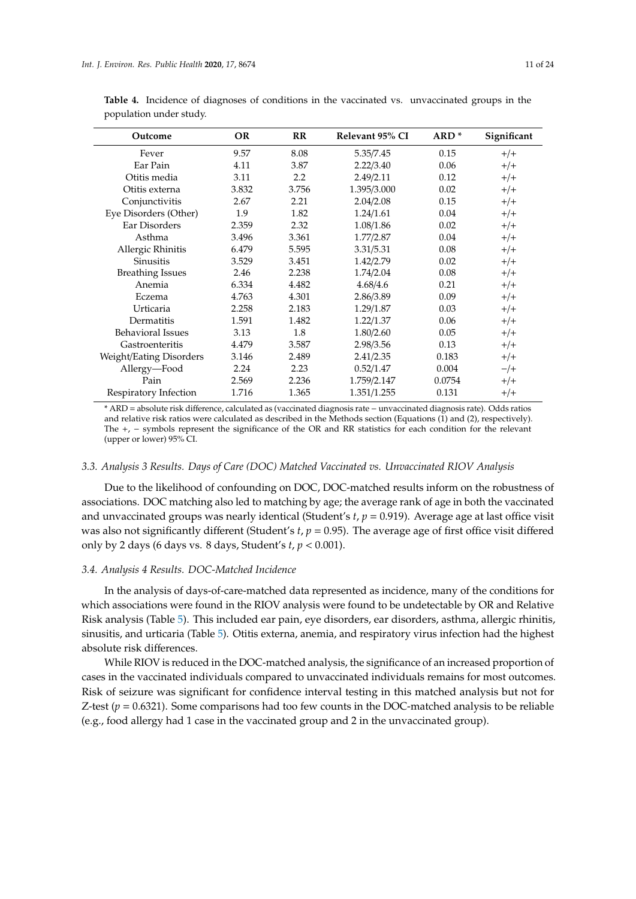| Outcome                  | <b>OR</b> | RR    | Relevant 95% CI | ARD <sup>*</sup> | Significant |
|--------------------------|-----------|-------|-----------------|------------------|-------------|
| Fever                    | 9.57      | 8.08  | 5.35/7.45       | 0.15             | $+/+$       |
| Ear Pain                 | 4.11      | 3.87  | 2.22/3.40       | 0.06             | $+/+$       |
| Otitis media             | 3.11      | 2.2   | 2.49/2.11       | 0.12             | $+/+$       |
| Otitis externa           | 3.832     | 3.756 | 1.395/3.000     | 0.02             | $+/+$       |
| Conjunctivitis           | 2.67      | 2.21  | 2.04/2.08       | 0.15             | $+/+$       |
| Eye Disorders (Other)    | 1.9       | 1.82  | 1.24/1.61       | 0.04             | $+/+$       |
| Ear Disorders            | 2.359     | 2.32  | 1.08/1.86       | 0.02             | $+/+$       |
| Asthma                   | 3.496     | 3.361 | 1.77/2.87       | 0.04             | $+/+$       |
| Allergic Rhinitis        | 6.479     | 5.595 | 3.31/5.31       | 0.08             | $+/+$       |
| <b>Sinusitis</b>         | 3.529     | 3.451 | 1.42/2.79       | 0.02             | $+/+$       |
| <b>Breathing Issues</b>  | 2.46      | 2.238 | 1.74/2.04       | 0.08             | $+/+$       |
| Anemia                   | 6.334     | 4.482 | 4.68/4.6        | 0.21             | $+/+$       |
| Eczema                   | 4.763     | 4.301 | 2.86/3.89       | 0.09             | $+/+$       |
| Urticaria                | 2.258     | 2.183 | 1.29/1.87       | 0.03             | $+/+$       |
| Dermatitis               | 1.591     | 1.482 | 1.22/1.37       | 0.06             | $+/+$       |
| <b>Behavioral Issues</b> | 3.13      | 1.8   | 1.80/2.60       | 0.05             | $+/+$       |
| Gastroenteritis          | 4.479     | 3.587 | 2.98/3.56       | 0.13             | $+/+$       |
| Weight/Eating Disorders  | 3.146     | 2.489 | 2.41/2.35       | 0.183            | $+/+$       |
| Allergy-Food             | 2.24      | 2.23  | 0.52/1.47       | 0.004            | $-/+$       |
| Pain                     | 2.569     | 2.236 | 1.759/2.147     | 0.0754           | $+/+$       |
| Respiratory Infection    | 1.716     | 1.365 | 1.351/1.255     | 0.131            | $+/+$       |

<span id="page-10-0"></span>Table 4. Incidence of diagnoses of conditions in the vaccinated vs. unvaccinated groups in the population under study.

\* ARD = absolute risk difference, calculated as (vaccinated diagnosis rate − unvaccinated diagnosis rate). Odds ratios and relative risk ratios were calculated as described in the Methods section (Equations (1) and (2), respectively). The +, − symbols represent the significance of the OR and RR statistics for each condition for the relevant (upper or lower) 95% CI.

#### *3.3. Analysis 3 Results. Days of Care (DOC) Matched Vaccinated vs. Unvaccinated RIOV Analysis*

Due to the likelihood of confounding on DOC, DOC-matched results inform on the robustness of associations. DOC matching also led to matching by age; the average rank of age in both the vaccinated and unvaccinated groups was nearly identical (Student's *t*, *p* = 0.919). Average age at last office visit was also not significantly different (Student's *t*, *p* = 0.95). The average age of first office visit differed only by 2 days (6 days vs. 8 days, Student's *t*, *p* < 0.001).

#### *3.4. Analysis 4 Results. DOC-Matched Incidence*

In the analysis of days-of-care-matched data represented as incidence, many of the conditions for which associations were found in the RIOV analysis were found to be undetectable by OR and Relative Risk analysis (Table [5\)](#page-11-0). This included ear pain, eye disorders, ear disorders, asthma, allergic rhinitis, sinusitis, and urticaria (Table [5\)](#page-11-0). Otitis externa, anemia, and respiratory virus infection had the highest absolute risk differences.

While RIOV is reduced in the DOC-matched analysis, the significance of an increased proportion of cases in the vaccinated individuals compared to unvaccinated individuals remains for most outcomes. Risk of seizure was significant for confidence interval testing in this matched analysis but not for Z-test ( $p = 0.6321$ ). Some comparisons had too few counts in the DOC-matched analysis to be reliable (e.g., food allergy had 1 case in the vaccinated group and 2 in the unvaccinated group).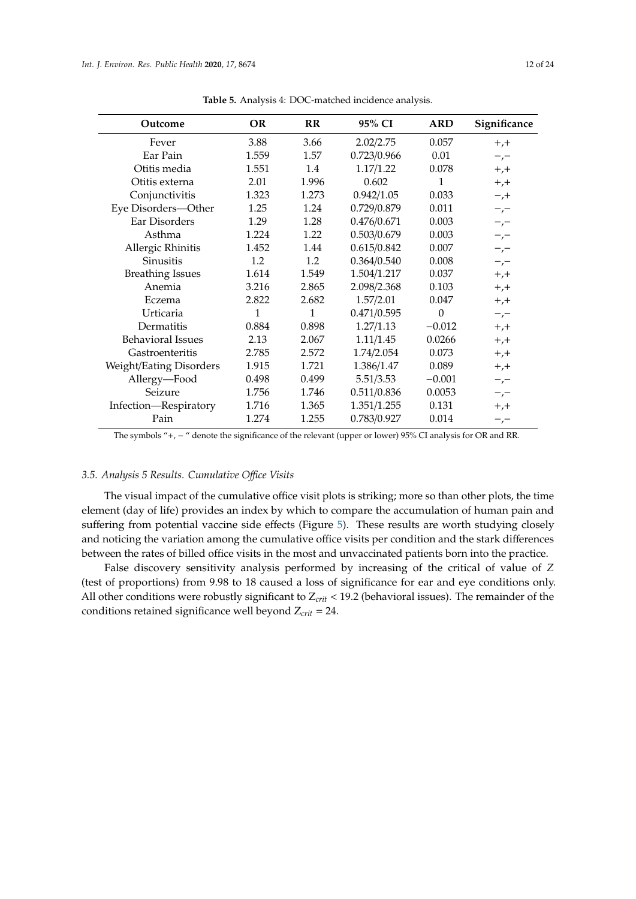<span id="page-11-0"></span>

| Outcome                        | <b>OR</b> | <b>RR</b> | 95% CI      | <b>ARD</b> | Significance |
|--------------------------------|-----------|-----------|-------------|------------|--------------|
| Fever                          | 3.88      | 3.66      | 2.02/2.75   | 0.057      | $+,+$        |
| Ear Pain                       | 1.559     | 1.57      | 0.723/0.966 | 0.01       | $-,-$        |
| Otitis media                   | 1.551     | 1.4       | 1.17/1.22   | 0.078      | $+,+$        |
| Otitis externa                 | 2.01      | 1.996     | 0.602       | 1          | $+,+$        |
| Conjunctivitis                 | 1.323     | 1.273     | 0.942/1.05  | 0.033      | $^{-,+}$     |
| Eye Disorders-Other            | 1.25      | 1.24      | 0.729/0.879 | 0.011      | $-,-$        |
| Ear Disorders                  | 1.29      | 1.28      | 0.476/0.671 | 0.003      | $-,-$        |
| Asthma                         | 1.224     | 1.22      | 0.503/0.679 | 0.003      | $-,-$        |
| Allergic Rhinitis              | 1.452     | 1.44      | 0.615/0.842 | 0.007      | $-,-$        |
| Sinusitis                      | 1.2       | 1.2       | 0.364/0.540 | 0.008      | $-,-$        |
| <b>Breathing Issues</b>        | 1.614     | 1.549     | 1.504/1.217 | 0.037      | $+,+$        |
| Anemia                         | 3.216     | 2.865     | 2.098/2.368 | 0.103      | $+,+$        |
| Eczema                         | 2.822     | 2.682     | 1.57/2.01   | 0.047      | $+,+$        |
| Urticaria                      | 1         | 1         | 0.471/0.595 | $\theta$   | $-,-$        |
| Dermatitis                     | 0.884     | 0.898     | 1.27/1.13   | $-0.012$   | $+,+$        |
| <b>Behavioral Issues</b>       | 2.13      | 2.067     | 1.11/1.45   | 0.0266     | $+,+$        |
| Gastroenteritis                | 2.785     | 2.572     | 1.74/2.054  | 0.073      | $+,+$        |
| <b>Weight/Eating Disorders</b> | 1.915     | 1.721     | 1.386/1.47  | 0.089      | $+,+$        |
| Allergy-Food                   | 0.498     | 0.499     | 5.51/3.53   | $-0.001$   | $-,-$        |
| Seizure                        | 1.756     | 1.746     | 0.511/0.836 | 0.0053     | $-,-$        |

**Table 5.** Analysis 4: DOC-matched incidence analysis.

The symbols "+, − " denote the significance of the relevant (upper or lower) 95% CI analysis for OR and RR.

Infection—Respiratory 1.716 1.365 1.351/1.255 0.131 +,+ Pain 1.274 1.255 0.783/0.927 0.014

#### *3.5. Analysis 5 Results. Cumulative O*ffi*ce Visits*

The visual impact of the cumulative office visit plots is striking; more so than other plots, the time element (day of life) provides an index by which to compare the accumulation of human pain and suffering from potential vaccine side effects (Figure [5\)](#page-12-0). These results are worth studying closely and noticing the variation among the cumulative office visits per condition and the stark differences between the rates of billed office visits in the most and unvaccinated patients born into the practice.

False discovery sensitivity analysis performed by increasing of the critical of value of *Z* (test of proportions) from 9.98 to 18 caused a loss of significance for ear and eye conditions only. All other conditions were robustly significant to Z*crit* < 19.2 (behavioral issues). The remainder of the conditions retained significance well beyond Z*crit* = 24.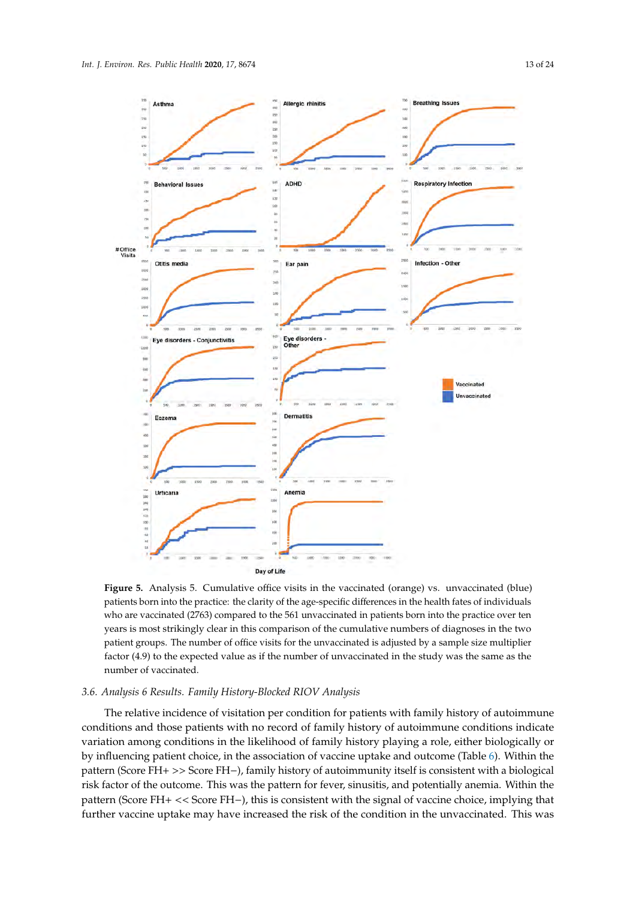<span id="page-12-0"></span>

**Figure 5.** Analysis 5. Cumulative office visits in the vaccinated (orange) vs. unvaccinated (blue) patients born into the practice: the clarity of the age-specific differences in the health fates of individuals who are vaccinated (2763) compared to the 561 unvaccinated in patients born into the practice over ten years is most strikingly clear in this comparison of the cumulative numbers of diagnoses in the two patient groups. The number of office visits for the unvaccinated is adjusted by a sample size multiplier factor (4.9) to the expected value as if the number of unvaccinated in the study was the same as the number of vaccinated.

Day of Life

#### *3.6. Analysis 6 Results. Family History-Blocked RIOV Analysis*

The relative incidence of visitation per condition for patients with family history of autoimmune conditions and those patients with no record of family history of autoimmune conditions indicate variation among conditions in the likelihood of family history playing a role, either biologically or by influencing patient choice, in the association of vaccine uptake and outcome (Table [6\)](#page-13-0). Within the pattern (Score FH+ >> Score FH−), family history of autoimmunity itself is consistent with a biological risk factor of the outcome. This was the pattern for fever, sinusitis, and potentially anemia. Within the pattern (Score FH+ << Score FH−), this is consistent with the signal of vaccine choice, implying that further vaccine uptake may have increased the risk of the condition in the unvaccinated. This was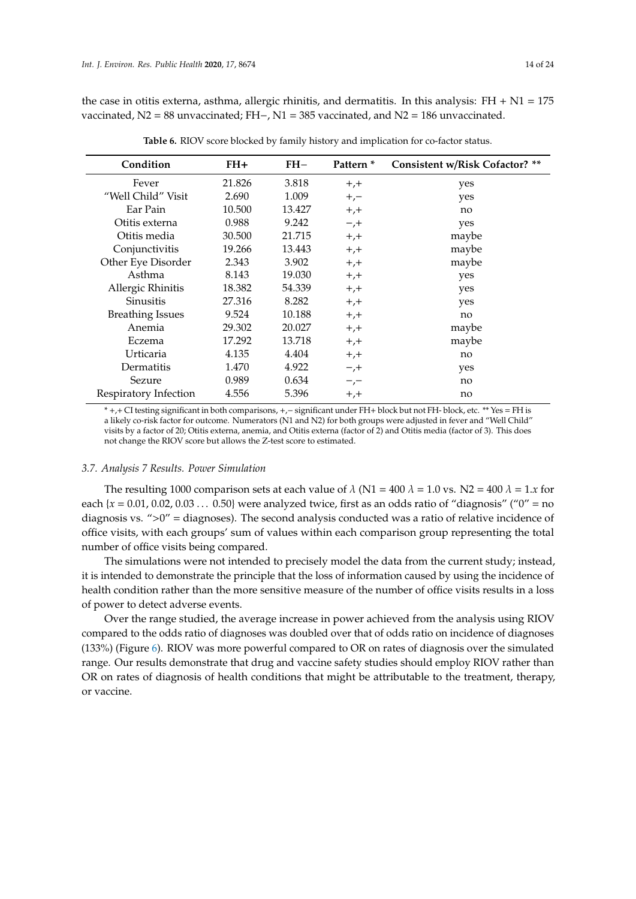the case in otitis externa, asthma, allergic rhinitis, and dermatitis. In this analysis:  $FH + N1 = 175$ vaccinated, N2 = 88 unvaccinated; FH−, N1 = 385 vaccinated, and N2 = 186 unvaccinated.

<span id="page-13-0"></span>

| Condition               | FH+    | $FH-$  | Pattern <sup>*</sup> | Consistent w/Risk Cofactor? ** |
|-------------------------|--------|--------|----------------------|--------------------------------|
| Fever                   | 21.826 | 3.818  | $+,+$                | yes                            |
| "Well Child" Visit      | 2.690  | 1.009  | $+,-$                | yes                            |
| Ear Pain                | 10.500 | 13.427 | $+,+$                | no                             |
| Otitis externa          | 0.988  | 9.242  | $-$ ,+               | yes                            |
| Otitis media            | 30.500 | 21.715 | $+,+$                | maybe                          |
| Conjunctivitis          | 19.266 | 13.443 | $+,+$                | maybe                          |
| Other Eye Disorder      | 2.343  | 3.902  | $+,+$                | maybe                          |
| Asthma                  | 8.143  | 19.030 | $+,+$                | yes                            |
| Allergic Rhinitis       | 18.382 | 54.339 | $+,+$                | yes                            |
| <b>Sinusitis</b>        | 27.316 | 8.282  | $+,+$                | yes                            |
| <b>Breathing Issues</b> | 9.524  | 10.188 | $+,+$                | no                             |
| Anemia                  | 29.302 | 20.027 | $+,+$                | maybe                          |
| Eczema                  | 17.292 | 13.718 | $+,+$                | maybe                          |
| Urticaria               | 4.135  | 4.404  | $+,+$                | no                             |
| Dermatitis              | 1.470  | 4.922  | $-$ ,+               | yes                            |
| Sezure                  | 0.989  | 0.634  | $-,-$                | no                             |
| Respiratory Infection   | 4.556  | 5.396  | $+,+$                | no                             |

**Table 6.** RIOV score blocked by family history and implication for co-factor status.

\* +,+ CI testing significant in both comparisons, +,− significant under FH+ block but not FH- block, etc. \*\* Yes = FH is a likely co-risk factor for outcome. Numerators (N1 and N2) for both groups were adjusted in fever and "Well Child" visits by a factor of 20; Otitis externa, anemia, and Otitis externa (factor of 2) and Otitis media (factor of 3). This does not change the RIOV score but allows the Z-test score to estimated.

#### *3.7. Analysis 7 Results. Power Simulation*

The resulting 1000 comparison sets at each value of  $\lambda$  (N1 = 400  $\lambda$  = 1.0 vs. N2 = 400  $\lambda$  = 1.*x* for each  $\{x = 0.01, 0.02, 0.03 \dots 0.50\}$  were analyzed twice, first as an odds ratio of "diagnosis" ("0" = no diagnosis vs. ">0" = diagnoses). The second analysis conducted was a ratio of relative incidence of office visits, with each groups' sum of values within each comparison group representing the total number of office visits being compared.

The simulations were not intended to precisely model the data from the current study; instead, it is intended to demonstrate the principle that the loss of information caused by using the incidence of health condition rather than the more sensitive measure of the number of office visits results in a loss of power to detect adverse events.

Over the range studied, the average increase in power achieved from the analysis using RIOV compared to the odds ratio of diagnoses was doubled over that of odds ratio on incidence of diagnoses (133%) (Figure [6\)](#page-14-0). RIOV was more powerful compared to OR on rates of diagnosis over the simulated range. Our results demonstrate that drug and vaccine safety studies should employ RIOV rather than OR on rates of diagnosis of health conditions that might be attributable to the treatment, therapy, or vaccine.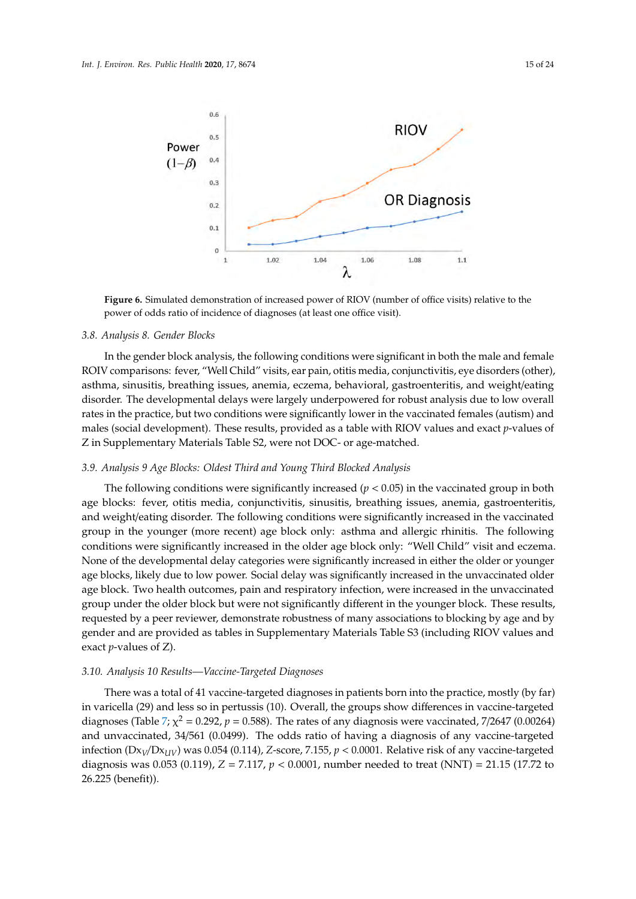<span id="page-14-0"></span>

**Figure 6.** Simulated demonstration of increased power of RIOV (number of office visits) relative to **Figure 6.** Simulated demonstration of increased power of RIOV (number of office visits) relative to the the power of odds ratio of incidence of diagnoses (at least one office visit). power of odds ratio of incidence of diagnoses (at least one office visit).

#### *3.8. Analysis 8. Gender Blocks*

In the gender block analysis, the following conditions were significant in both the male and female ROIV comparisons: fever, "Well Child" visits, ear pain, otitis media, conjunctivitis, eye disorders (other),<br>esthere existential booth in a issue conservative converse habenised a setment with an a marial theolical disorder. The developmental delays were largely underpowered for robust analysis due to low overall rates in the practice, but two conditions were significantly lower in the vaccinated females (autism) and males (social development). These results, provided as a table with RIOV values and exact *p*-values of Z in Supplementary Materials Table S2, were not DOC- or age-matched. asthma, sinusitis, breathing issues, anemia, eczema, behavioral, gastroenteritis, and weight/eating

## 3.9. Analysis 9 Age Blocks: Oldest Third and Young Third Blocked Analysis

The following conditions were significantly increased ( $p < 0.05$ ) in the vaccinated group in both and weight/eating disorder. The following conditions were significantly increased in the vaccinated group in the younger (more recent) age block only: asuthia and allergic rimitis. The following<br>conditions were significantly increased in the older age block only: "Well Child" visit and eczema. None of the developmental delay categories were significantly increased in either the older or younger age blocks, likely due to low power. Social delay was significantly increased in the unvaccinated older age block. Two health outcomes, pain and respiratory infection, were increased in the unvaccinated group under the older block but were not significantly different in the younger block. These results, requested by a peer reviewer, demonstrate robustness of many associations to blocking by age and by<br>regular and are greenided as tables in Guardan artem. Materials Table G2 (including PIOV reluxe and gender and are provided as tables in Supplementary Materials Table S3 (including RIOV values and<br>exact n-values of Z) age blocks: fever, otitis media, conjunctivitis, sinusitis, breathing issues, anemia, gastroenteritis, group in the younger (more recent) age block only: asthma and allergic rhinitis. The following exact *p*-values of Z).

## 3.10. Analysis 10 Results—Vaccine-Targeted Diagnoses

There was a total of 41 vaccine-targeted diagnoses in patients born into the practice, mostly (by far) in varicella (29) and less so in pertussis (10). Overall, the groups show differences in vaccine-targeted  $\frac{1}{2}$ diagnoses (Table [7;](#page-15-0)  $\chi^2 = 0.292$ ,  $p = 0.588$ ). The rates of any diagnosis were vaccinated, 7/2647 (0.00264) diagnosis was 0.053 (0.119), *Z* = 7.117, *p* < 0.0001, number needed to treat (NNT) = 21.15 (17.72 to  $20.225$  (benefit)). and unvaccinated, 34/561 (0.0499). The odds ratio of having a diagnosis of any vaccine-targeted infection  $(Dx_V/Dx_{UV})$  was 0.054 (0.114), *Z*-score, 7.155,  $p < 0.0001$ . Relative risk of any vaccine-targeted 26.225 (benefit)).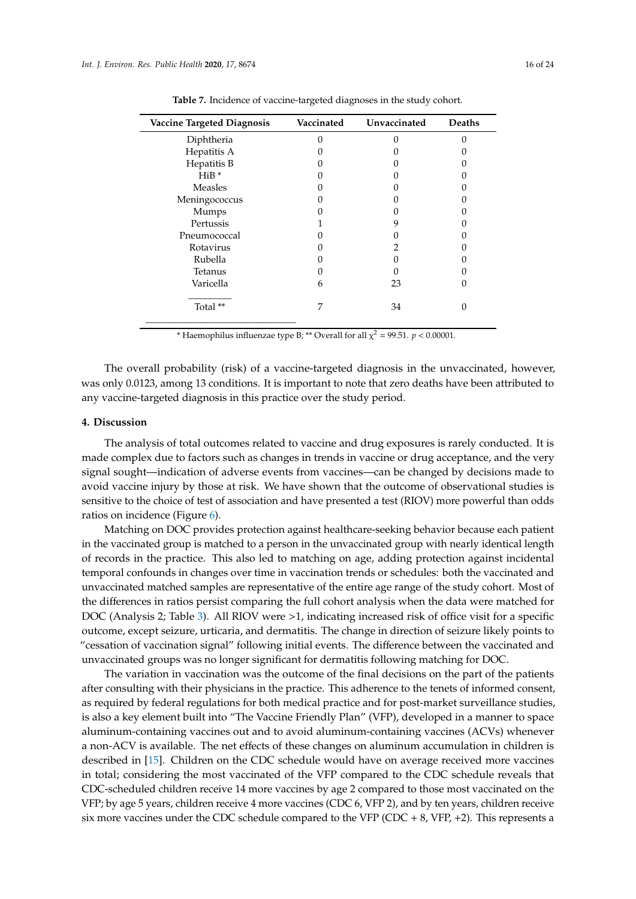<span id="page-15-0"></span>

| Vaccine Targeted Diagnosis | Vaccinated | Unvaccinated | Deaths |
|----------------------------|------------|--------------|--------|
| Diphtheria                 |            |              |        |
| Hepatitis A                |            |              |        |
| Hepatitis B                |            |              |        |
| $HiB*$                     |            |              |        |
| Measles                    |            |              |        |
| Meningococcus              |            |              |        |
| Mumps                      |            |              |        |
| Pertussis                  |            |              |        |
| Pneumococcal               |            |              |        |
| Rotavirus                  |            |              |        |
| Rubella                    |            |              |        |
| Tetanus                    |            |              |        |
| Varicella                  | h          | 23           |        |
| Total**                    | 7          | 34           |        |

**Table 7.** Incidence of vaccine-targeted diagnoses in the study cohort.

\* Haemophilus influenzae type B; \*\* Overall for all  $\chi^2 = 99.51$ .  $p < 0.00001$ .

The overall probability (risk) of a vaccine-targeted diagnosis in the unvaccinated, however, was only 0.0123, among 13 conditions. It is important to note that zero deaths have been attributed to any vaccine-targeted diagnosis in this practice over the study period.

#### **4. Discussion**

The analysis of total outcomes related to vaccine and drug exposures is rarely conducted. It is made complex due to factors such as changes in trends in vaccine or drug acceptance, and the very signal sought—indication of adverse events from vaccines—can be changed by decisions made to avoid vaccine injury by those at risk. We have shown that the outcome of observational studies is sensitive to the choice of test of association and have presented a test (RIOV) more powerful than odds ratios on incidence (Figure [6\)](#page-14-0).

Matching on DOC provides protection against healthcare-seeking behavior because each patient in the vaccinated group is matched to a person in the unvaccinated group with nearly identical length of records in the practice. This also led to matching on age, adding protection against incidental temporal confounds in changes over time in vaccination trends or schedules: both the vaccinated and unvaccinated matched samples are representative of the entire age range of the study cohort. Most of the differences in ratios persist comparing the full cohort analysis when the data were matched for DOC (Analysis 2; Table [3\)](#page-8-0). All RIOV were >1, indicating increased risk of office visit for a specific outcome, except seizure, urticaria, and dermatitis. The change in direction of seizure likely points to "cessation of vaccination signal" following initial events. The difference between the vaccinated and unvaccinated groups was no longer significant for dermatitis following matching for DOC.

The variation in vaccination was the outcome of the final decisions on the part of the patients after consulting with their physicians in the practice. This adherence to the tenets of informed consent, as required by federal regulations for both medical practice and for post-market surveillance studies, is also a key element built into "The Vaccine Friendly Plan" (VFP), developed in a manner to space aluminum-containing vaccines out and to avoid aluminum-containing vaccines (ACVs) whenever a non-ACV is available. The net effects of these changes on aluminum accumulation in children is described in [\[15\]](#page-22-9). Children on the CDC schedule would have on average received more vaccines in total; considering the most vaccinated of the VFP compared to the CDC schedule reveals that CDC-scheduled children receive 14 more vaccines by age 2 compared to those most vaccinated on the VFP; by age 5 years, children receive 4 more vaccines (CDC 6, VFP 2), and by ten years, children receive six more vaccines under the CDC schedule compared to the VFP (CDC +  $8$ , VFP, +2). This represents a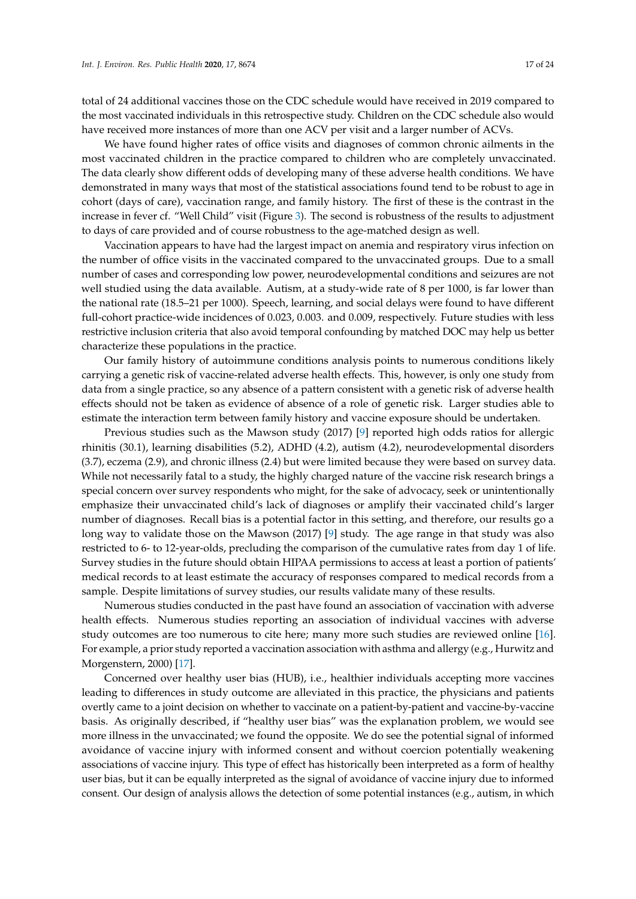total of 24 additional vaccines those on the CDC schedule would have received in 2019 compared to the most vaccinated individuals in this retrospective study. Children on the CDC schedule also would have received more instances of more than one ACV per visit and a larger number of ACVs.

We have found higher rates of office visits and diagnoses of common chronic ailments in the most vaccinated children in the practice compared to children who are completely unvaccinated. The data clearly show different odds of developing many of these adverse health conditions. We have demonstrated in many ways that most of the statistical associations found tend to be robust to age in cohort (days of care), vaccination range, and family history. The first of these is the contrast in the increase in fever cf. "Well Child" visit (Figure [3\)](#page-4-0). The second is robustness of the results to adjustment to days of care provided and of course robustness to the age-matched design as well.

Vaccination appears to have had the largest impact on anemia and respiratory virus infection on the number of office visits in the vaccinated compared to the unvaccinated groups. Due to a small number of cases and corresponding low power, neurodevelopmental conditions and seizures are not well studied using the data available. Autism, at a study-wide rate of 8 per 1000, is far lower than the national rate (18.5–21 per 1000). Speech, learning, and social delays were found to have different full-cohort practice-wide incidences of 0.023, 0.003. and 0.009, respectively. Future studies with less restrictive inclusion criteria that also avoid temporal confounding by matched DOC may help us better characterize these populations in the practice.

Our family history of autoimmune conditions analysis points to numerous conditions likely carrying a genetic risk of vaccine-related adverse health effects. This, however, is only one study from data from a single practice, so any absence of a pattern consistent with a genetic risk of adverse health effects should not be taken as evidence of absence of a role of genetic risk. Larger studies able to estimate the interaction term between family history and vaccine exposure should be undertaken.

Previous studies such as the Mawson study (2017) [\[9\]](#page-22-3) reported high odds ratios for allergic rhinitis (30.1), learning disabilities (5.2), ADHD (4.2), autism (4.2), neurodevelopmental disorders (3.7), eczema (2.9), and chronic illness (2.4) but were limited because they were based on survey data. While not necessarily fatal to a study, the highly charged nature of the vaccine risk research brings a special concern over survey respondents who might, for the sake of advocacy, seek or unintentionally emphasize their unvaccinated child's lack of diagnoses or amplify their vaccinated child's larger number of diagnoses. Recall bias is a potential factor in this setting, and therefore, our results go a long way to validate those on the Mawson (2017) [\[9\]](#page-22-3) study. The age range in that study was also restricted to 6- to 12-year-olds, precluding the comparison of the cumulative rates from day 1 of life. Survey studies in the future should obtain HIPAA permissions to access at least a portion of patients' medical records to at least estimate the accuracy of responses compared to medical records from a sample. Despite limitations of survey studies, our results validate many of these results.

Numerous studies conducted in the past have found an association of vaccination with adverse health effects. Numerous studies reporting an association of individual vaccines with adverse study outcomes are too numerous to cite here; many more such studies are reviewed online [\[16\]](#page-22-10). For example, a prior study reported a vaccination association with asthma and allergy (e.g., Hurwitz and Morgenstern, 2000) [\[17\]](#page-22-11).

Concerned over healthy user bias (HUB), i.e., healthier individuals accepting more vaccines leading to differences in study outcome are alleviated in this practice, the physicians and patients overtly came to a joint decision on whether to vaccinate on a patient-by-patient and vaccine-by-vaccine basis. As originally described, if "healthy user bias" was the explanation problem, we would see more illness in the unvaccinated; we found the opposite. We do see the potential signal of informed avoidance of vaccine injury with informed consent and without coercion potentially weakening associations of vaccine injury. This type of effect has historically been interpreted as a form of healthy user bias, but it can be equally interpreted as the signal of avoidance of vaccine injury due to informed consent. Our design of analysis allows the detection of some potential instances (e.g., autism, in which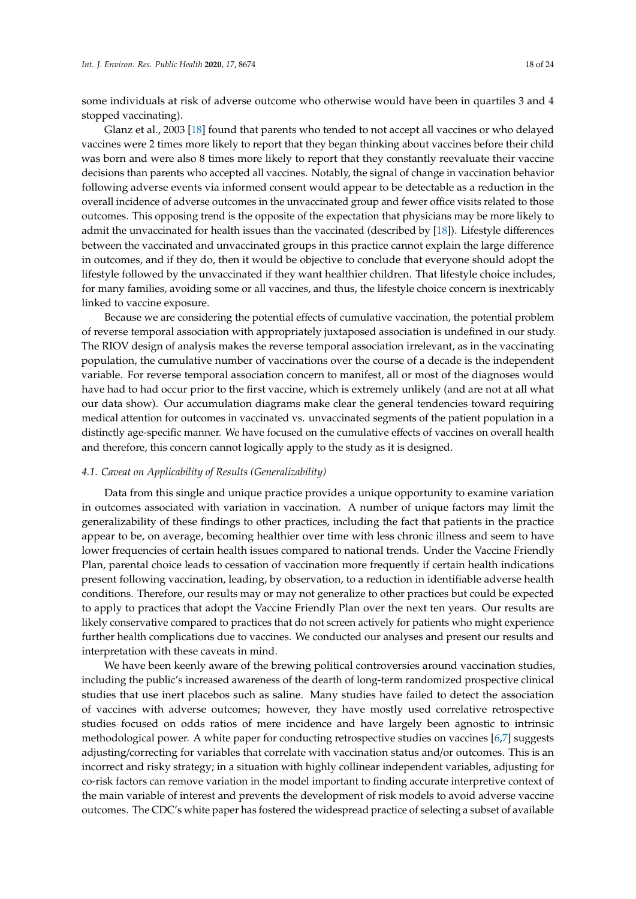some individuals at risk of adverse outcome who otherwise would have been in quartiles 3 and 4 stopped vaccinating).

Glanz et al., 2003 [\[18\]](#page-22-12) found that parents who tended to not accept all vaccines or who delayed vaccines were 2 times more likely to report that they began thinking about vaccines before their child was born and were also 8 times more likely to report that they constantly reevaluate their vaccine decisions than parents who accepted all vaccines. Notably, the signal of change in vaccination behavior following adverse events via informed consent would appear to be detectable as a reduction in the overall incidence of adverse outcomes in the unvaccinated group and fewer office visits related to those outcomes. This opposing trend is the opposite of the expectation that physicians may be more likely to admit the unvaccinated for health issues than the vaccinated (described by [\[18\]](#page-22-12)). Lifestyle differences between the vaccinated and unvaccinated groups in this practice cannot explain the large difference in outcomes, and if they do, then it would be objective to conclude that everyone should adopt the lifestyle followed by the unvaccinated if they want healthier children. That lifestyle choice includes, for many families, avoiding some or all vaccines, and thus, the lifestyle choice concern is inextricably linked to vaccine exposure.

Because we are considering the potential effects of cumulative vaccination, the potential problem of reverse temporal association with appropriately juxtaposed association is undefined in our study. The RIOV design of analysis makes the reverse temporal association irrelevant, as in the vaccinating population, the cumulative number of vaccinations over the course of a decade is the independent variable. For reverse temporal association concern to manifest, all or most of the diagnoses would have had to had occur prior to the first vaccine, which is extremely unlikely (and are not at all what our data show). Our accumulation diagrams make clear the general tendencies toward requiring medical attention for outcomes in vaccinated vs. unvaccinated segments of the patient population in a distinctly age-specific manner. We have focused on the cumulative effects of vaccines on overall health and therefore, this concern cannot logically apply to the study as it is designed.

#### *4.1. Caveat on Applicability of Results (Generalizability)*

Data from this single and unique practice provides a unique opportunity to examine variation in outcomes associated with variation in vaccination. A number of unique factors may limit the generalizability of these findings to other practices, including the fact that patients in the practice appear to be, on average, becoming healthier over time with less chronic illness and seem to have lower frequencies of certain health issues compared to national trends. Under the Vaccine Friendly Plan, parental choice leads to cessation of vaccination more frequently if certain health indications present following vaccination, leading, by observation, to a reduction in identifiable adverse health conditions. Therefore, our results may or may not generalize to other practices but could be expected to apply to practices that adopt the Vaccine Friendly Plan over the next ten years. Our results are likely conservative compared to practices that do not screen actively for patients who might experience further health complications due to vaccines. We conducted our analyses and present our results and interpretation with these caveats in mind.

We have been keenly aware of the brewing political controversies around vaccination studies, including the public's increased awareness of the dearth of long-term randomized prospective clinical studies that use inert placebos such as saline. Many studies have failed to detect the association of vaccines with adverse outcomes; however, they have mostly used correlative retrospective studies focused on odds ratios of mere incidence and have largely been agnostic to intrinsic methodological power. A white paper for conducting retrospective studies on vaccines [\[6](#page-22-0)[,7\]](#page-22-1) suggests adjusting/correcting for variables that correlate with vaccination status and/or outcomes. This is an incorrect and risky strategy; in a situation with highly collinear independent variables, adjusting for co-risk factors can remove variation in the model important to finding accurate interpretive context of the main variable of interest and prevents the development of risk models to avoid adverse vaccine outcomes. The CDC's white paper has fostered the widespread practice of selecting a subset of available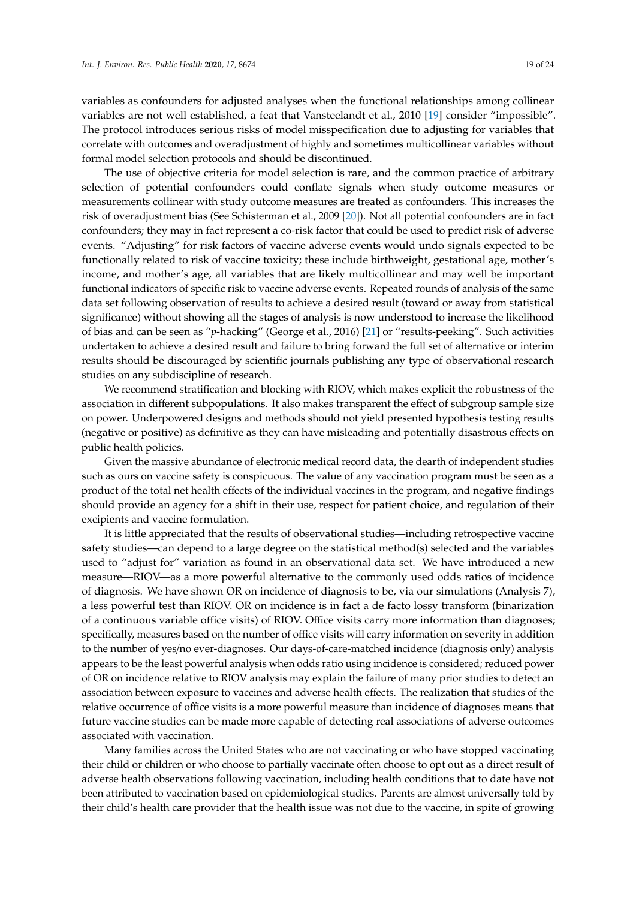variables as confounders for adjusted analyses when the functional relationships among collinear variables are not well established, a feat that Vansteelandt et al., 2010 [\[19\]](#page-22-13) consider "impossible". The protocol introduces serious risks of model misspecification due to adjusting for variables that correlate with outcomes and overadjustment of highly and sometimes multicollinear variables without formal model selection protocols and should be discontinued.

The use of objective criteria for model selection is rare, and the common practice of arbitrary selection of potential confounders could conflate signals when study outcome measures or measurements collinear with study outcome measures are treated as confounders. This increases the risk of overadjustment bias (See Schisterman et al., 2009 [\[20\]](#page-22-14)). Not all potential confounders are in fact confounders; they may in fact represent a co-risk factor that could be used to predict risk of adverse events. "Adjusting" for risk factors of vaccine adverse events would undo signals expected to be functionally related to risk of vaccine toxicity; these include birthweight, gestational age, mother's income, and mother's age, all variables that are likely multicollinear and may well be important functional indicators of specific risk to vaccine adverse events. Repeated rounds of analysis of the same data set following observation of results to achieve a desired result (toward or away from statistical significance) without showing all the stages of analysis is now understood to increase the likelihood of bias and can be seen as "*p*-hacking" (George et al., 2016) [\[21\]](#page-22-15) or "results-peeking". Such activities undertaken to achieve a desired result and failure to bring forward the full set of alternative or interim results should be discouraged by scientific journals publishing any type of observational research studies on any subdiscipline of research.

We recommend stratification and blocking with RIOV, which makes explicit the robustness of the association in different subpopulations. It also makes transparent the effect of subgroup sample size on power. Underpowered designs and methods should not yield presented hypothesis testing results (negative or positive) as definitive as they can have misleading and potentially disastrous effects on public health policies.

Given the massive abundance of electronic medical record data, the dearth of independent studies such as ours on vaccine safety is conspicuous. The value of any vaccination program must be seen as a product of the total net health effects of the individual vaccines in the program, and negative findings should provide an agency for a shift in their use, respect for patient choice, and regulation of their excipients and vaccine formulation.

It is little appreciated that the results of observational studies—including retrospective vaccine safety studies—can depend to a large degree on the statistical method(s) selected and the variables used to "adjust for" variation as found in an observational data set. We have introduced a new measure—RIOV—as a more powerful alternative to the commonly used odds ratios of incidence of diagnosis. We have shown OR on incidence of diagnosis to be, via our simulations (Analysis 7), a less powerful test than RIOV. OR on incidence is in fact a de facto lossy transform (binarization of a continuous variable office visits) of RIOV. Office visits carry more information than diagnoses; specifically, measures based on the number of office visits will carry information on severity in addition to the number of yes/no ever-diagnoses. Our days-of-care-matched incidence (diagnosis only) analysis appears to be the least powerful analysis when odds ratio using incidence is considered; reduced power of OR on incidence relative to RIOV analysis may explain the failure of many prior studies to detect an association between exposure to vaccines and adverse health effects. The realization that studies of the relative occurrence of office visits is a more powerful measure than incidence of diagnoses means that future vaccine studies can be made more capable of detecting real associations of adverse outcomes associated with vaccination.

Many families across the United States who are not vaccinating or who have stopped vaccinating their child or children or who choose to partially vaccinate often choose to opt out as a direct result of adverse health observations following vaccination, including health conditions that to date have not been attributed to vaccination based on epidemiological studies. Parents are almost universally told by their child's health care provider that the health issue was not due to the vaccine, in spite of growing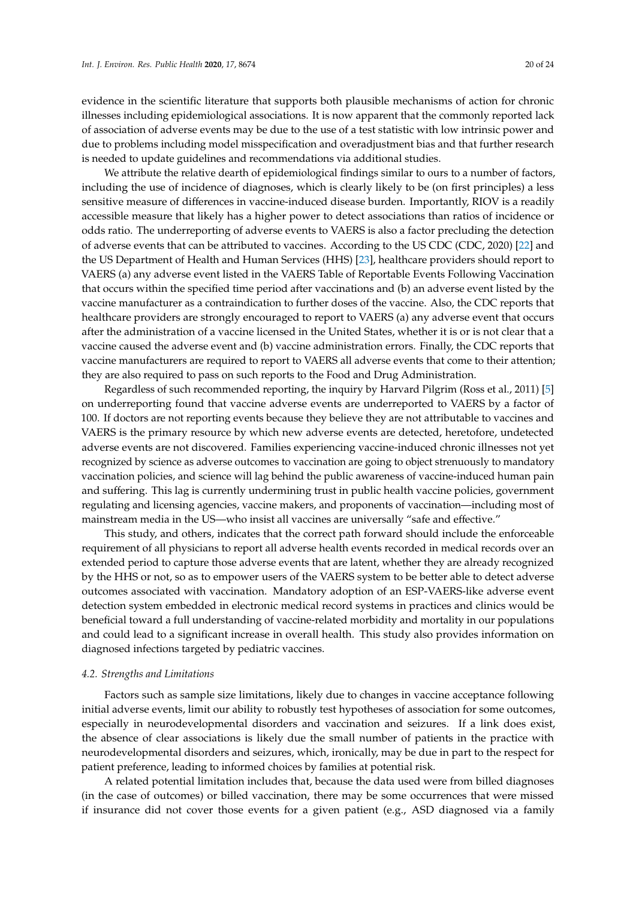evidence in the scientific literature that supports both plausible mechanisms of action for chronic illnesses including epidemiological associations. It is now apparent that the commonly reported lack of association of adverse events may be due to the use of a test statistic with low intrinsic power and due to problems including model misspecification and overadjustment bias and that further research is needed to update guidelines and recommendations via additional studies.

We attribute the relative dearth of epidemiological findings similar to ours to a number of factors, including the use of incidence of diagnoses, which is clearly likely to be (on first principles) a less sensitive measure of differences in vaccine-induced disease burden. Importantly, RIOV is a readily accessible measure that likely has a higher power to detect associations than ratios of incidence or odds ratio. The underreporting of adverse events to VAERS is also a factor precluding the detection of adverse events that can be attributed to vaccines. According to the US CDC (CDC, 2020) [\[22\]](#page-22-16) and the US Department of Health and Human Services (HHS) [\[23\]](#page-22-17), healthcare providers should report to VAERS (a) any adverse event listed in the VAERS Table of Reportable Events Following Vaccination that occurs within the specified time period after vaccinations and (b) an adverse event listed by the vaccine manufacturer as a contraindication to further doses of the vaccine. Also, the CDC reports that healthcare providers are strongly encouraged to report to VAERS (a) any adverse event that occurs after the administration of a vaccine licensed in the United States, whether it is or is not clear that a vaccine caused the adverse event and (b) vaccine administration errors. Finally, the CDC reports that vaccine manufacturers are required to report to VAERS all adverse events that come to their attention; they are also required to pass on such reports to the Food and Drug Administration.

Regardless of such recommended reporting, the inquiry by Harvard Pilgrim (Ross et al., 2011) [\[5\]](#page-21-4) on underreporting found that vaccine adverse events are underreported to VAERS by a factor of 100. If doctors are not reporting events because they believe they are not attributable to vaccines and VAERS is the primary resource by which new adverse events are detected, heretofore, undetected adverse events are not discovered. Families experiencing vaccine-induced chronic illnesses not yet recognized by science as adverse outcomes to vaccination are going to object strenuously to mandatory vaccination policies, and science will lag behind the public awareness of vaccine-induced human pain and suffering. This lag is currently undermining trust in public health vaccine policies, government regulating and licensing agencies, vaccine makers, and proponents of vaccination—including most of mainstream media in the US—who insist all vaccines are universally "safe and effective."

This study, and others, indicates that the correct path forward should include the enforceable requirement of all physicians to report all adverse health events recorded in medical records over an extended period to capture those adverse events that are latent, whether they are already recognized by the HHS or not, so as to empower users of the VAERS system to be better able to detect adverse outcomes associated with vaccination. Mandatory adoption of an ESP-VAERS-like adverse event detection system embedded in electronic medical record systems in practices and clinics would be beneficial toward a full understanding of vaccine-related morbidity and mortality in our populations and could lead to a significant increase in overall health. This study also provides information on diagnosed infections targeted by pediatric vaccines.

#### *4.2. Strengths and Limitations*

Factors such as sample size limitations, likely due to changes in vaccine acceptance following initial adverse events, limit our ability to robustly test hypotheses of association for some outcomes, especially in neurodevelopmental disorders and vaccination and seizures. If a link does exist, the absence of clear associations is likely due the small number of patients in the practice with neurodevelopmental disorders and seizures, which, ironically, may be due in part to the respect for patient preference, leading to informed choices by families at potential risk.

A related potential limitation includes that, because the data used were from billed diagnoses (in the case of outcomes) or billed vaccination, there may be some occurrences that were missed if insurance did not cover those events for a given patient (e.g., ASD diagnosed via a family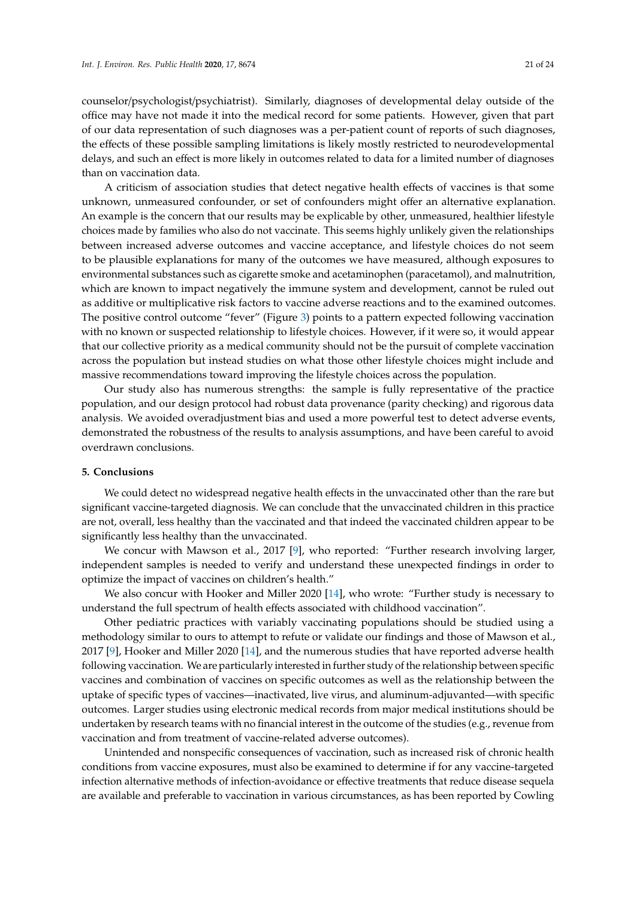counselor/psychologist/psychiatrist). Similarly, diagnoses of developmental delay outside of the office may have not made it into the medical record for some patients. However, given that part of our data representation of such diagnoses was a per-patient count of reports of such diagnoses, the effects of these possible sampling limitations is likely mostly restricted to neurodevelopmental delays, and such an effect is more likely in outcomes related to data for a limited number of diagnoses than on vaccination data.

A criticism of association studies that detect negative health effects of vaccines is that some unknown, unmeasured confounder, or set of confounders might offer an alternative explanation. An example is the concern that our results may be explicable by other, unmeasured, healthier lifestyle choices made by families who also do not vaccinate. This seems highly unlikely given the relationships between increased adverse outcomes and vaccine acceptance, and lifestyle choices do not seem to be plausible explanations for many of the outcomes we have measured, although exposures to environmental substances such as cigarette smoke and acetaminophen (paracetamol), and malnutrition, which are known to impact negatively the immune system and development, cannot be ruled out as additive or multiplicative risk factors to vaccine adverse reactions and to the examined outcomes. The positive control outcome "fever" (Figure [3\)](#page-4-0) points to a pattern expected following vaccination with no known or suspected relationship to lifestyle choices. However, if it were so, it would appear that our collective priority as a medical community should not be the pursuit of complete vaccination across the population but instead studies on what those other lifestyle choices might include and massive recommendations toward improving the lifestyle choices across the population.

Our study also has numerous strengths: the sample is fully representative of the practice population, and our design protocol had robust data provenance (parity checking) and rigorous data analysis. We avoided overadjustment bias and used a more powerful test to detect adverse events, demonstrated the robustness of the results to analysis assumptions, and have been careful to avoid overdrawn conclusions.

#### **5. Conclusions**

We could detect no widespread negative health effects in the unvaccinated other than the rare but significant vaccine-targeted diagnosis. We can conclude that the unvaccinated children in this practice are not, overall, less healthy than the vaccinated and that indeed the vaccinated children appear to be significantly less healthy than the unvaccinated.

We concur with Mawson et al., 2017 [\[9\]](#page-22-3), who reported: "Further research involving larger, independent samples is needed to verify and understand these unexpected findings in order to optimize the impact of vaccines on children's health."

We also concur with Hooker and Miller 2020 [\[14\]](#page-22-8), who wrote: "Further study is necessary to understand the full spectrum of health effects associated with childhood vaccination".

Other pediatric practices with variably vaccinating populations should be studied using a methodology similar to ours to attempt to refute or validate our findings and those of Mawson et al., 2017 [\[9\]](#page-22-3), Hooker and Miller 2020 [\[14\]](#page-22-8), and the numerous studies that have reported adverse health following vaccination. We are particularly interested in further study of the relationship between specific vaccines and combination of vaccines on specific outcomes as well as the relationship between the uptake of specific types of vaccines—inactivated, live virus, and aluminum-adjuvanted—with specific outcomes. Larger studies using electronic medical records from major medical institutions should be undertaken by research teams with no financial interest in the outcome of the studies (e.g., revenue from vaccination and from treatment of vaccine-related adverse outcomes).

Unintended and nonspecific consequences of vaccination, such as increased risk of chronic health conditions from vaccine exposures, must also be examined to determine if for any vaccine-targeted infection alternative methods of infection-avoidance or effective treatments that reduce disease sequela are available and preferable to vaccination in various circumstances, as has been reported by Cowling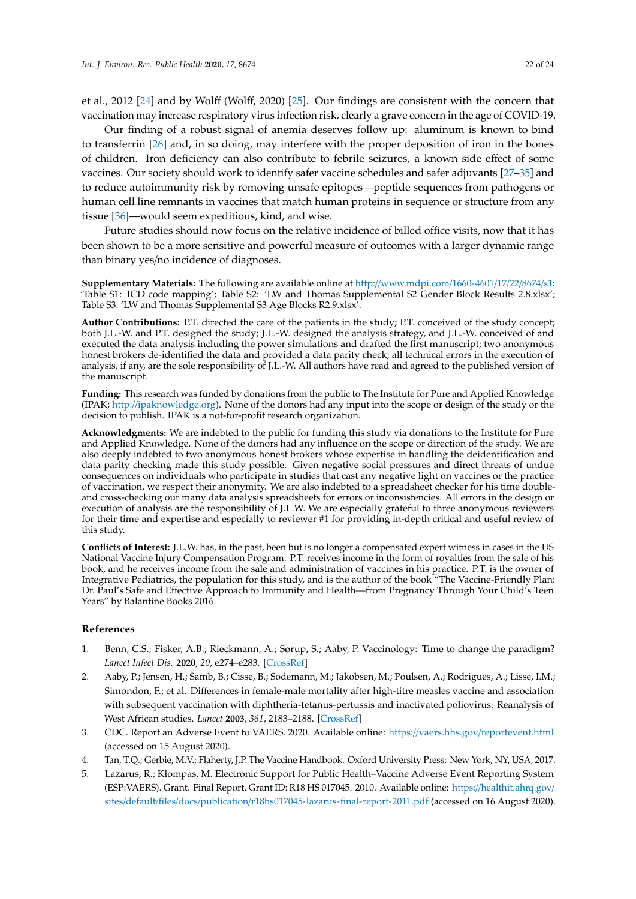et al., 2012 [\[24\]](#page-22-18) and by Wolff (Wolff, 2020) [\[25\]](#page-23-0). Our findings are consistent with the concern that

vaccination may increase respiratory virus infection risk, clearly a grave concern in the age of COVID-19. Our finding of a robust signal of anemia deserves follow up: aluminum is known to bind

to transferrin [\[26\]](#page-23-1) and, in so doing, may interfere with the proper deposition of iron in the bones of children. Iron deficiency can also contribute to febrile seizures, a known side effect of some vaccines. Our society should work to identify safer vaccine schedules and safer adjuvants [\[27](#page-23-2)[–35\]](#page-23-3) and to reduce autoimmunity risk by removing unsafe epitopes—peptide sequences from pathogens or human cell line remnants in vaccines that match human proteins in sequence or structure from any tissue [\[36\]](#page-23-4)—would seem expeditious, kind, and wise.

Future studies should now focus on the relative incidence of billed office visits, now that it has been shown to be a more sensitive and powerful measure of outcomes with a larger dynamic range than binary yes/no incidence of diagnoses.

**Supplementary Materials:** The following are available online at http://[www.mdpi.com](http://www.mdpi.com/1660-4601/17/22/8674/s1)/1660-4601/17/22/8674/s1: 'Table S1: ICD code mapping'; Table S2: 'LW and Thomas Supplemental S2 Gender Block Results 2.8.xlsx'; Table S3: 'LW and Thomas Supplemental S3 Age Blocks R2.9.xlsx'.

**Author Contributions:** P.T. directed the care of the patients in the study; P.T. conceived of the study concept; both J.L.-W. and P.T. designed the study; J.L.-W. designed the analysis strategy, and J.L.-W. conceived of and executed the data analysis including the power simulations and drafted the first manuscript; two anonymous honest brokers de-identified the data and provided a data parity check; all technical errors in the execution of analysis, if any, are the sole responsibility of J.L.-W. All authors have read and agreed to the published version of the manuscript.

**Funding:** This research was funded by donations from the public to The Institute for Pure and Applied Knowledge (IPAK; http://[ipaknowledge.org\)](http://ipaknowledge.org). None of the donors had any input into the scope or design of the study or the decision to publish. IPAK is a not-for-profit research organization.

**Acknowledgments:** We are indebted to the public for funding this study via donations to the Institute for Pure and Applied Knowledge. None of the donors had any influence on the scope or direction of the study. We are also deeply indebted to two anonymous honest brokers whose expertise in handling the deidentification and data parity checking made this study possible. Given negative social pressures and direct threats of undue consequences on individuals who participate in studies that cast any negative light on vaccines or the practice of vaccination, we respect their anonymity. We are also indebted to a spreadsheet checker for his time doubleand cross-checking our many data analysis spreadsheets for errors or inconsistencies. All errors in the design or execution of analysis are the responsibility of J.L.W. We are especially grateful to three anonymous reviewers for their time and expertise and especially to reviewer #1 for providing in-depth critical and useful review of this study.

**Conflicts of Interest:** J.L.W. has, in the past, been but is no longer a compensated expert witness in cases in the US National Vaccine Injury Compensation Program. P.T. receives income in the form of royalties from the sale of his book, and he receives income from the sale and administration of vaccines in his practice. P.T. is the owner of Integrative Pediatrics, the population for this study, and is the author of the book "The Vaccine-Friendly Plan: Dr. Paul's Safe and Effective Approach to Immunity and Health—from Pregnancy Through Your Child's Teen Years" by Balantine Books 2016.

#### **References**

- <span id="page-21-0"></span>1. Benn, C.S.; Fisker, A.B.; Rieckmann, A.; Sørup, S.; Aaby, P. Vaccinology: Time to change the paradigm? *Lancet Infect Dis.* **2020**, *20*, e274–e283. [\[CrossRef\]](http://dx.doi.org/10.1016/S1473-3099(19)30742-X)
- <span id="page-21-1"></span>2. Aaby, P.; Jensen, H.; Samb, B.; Cisse, B.; Sodemann, M.; Jakobsen, M.; Poulsen, A.; Rodrigues, A.; Lisse, I.M.; Simondon, F.; et al. Differences in female-male mortality after high-titre measles vaccine and association with subsequent vaccination with diphtheria-tetanus-pertussis and inactivated poliovirus: Reanalysis of West African studies. *Lancet* **2003**, *361*, 2183–2188. [\[CrossRef\]](http://dx.doi.org/10.1016/S0140-6736(03)13771-3)
- <span id="page-21-2"></span>3. CDC. Report an Adverse Event to VAERS. 2020. Available online: https://vaers.hhs.gov/[reportevent.html](https://vaers.hhs.gov/reportevent.html) (accessed on 15 August 2020).
- <span id="page-21-3"></span>4. Tan, T.Q.; Gerbie, M.V.; Flaherty, J.P. The Vaccine Handbook. Oxford University Press: New York, NY, USA, 2017.
- <span id="page-21-4"></span>5. Lazarus, R.; Klompas, M. Electronic Support for Public Health–Vaccine Adverse Event Reporting System (ESP:VAERS). Grant. Final Report, Grant ID: R18 HS 017045. 2010. Available online: https://[healthit.ahrq.gov](https://healthit.ahrq.gov/sites/default/files/docs/publication/r18hs017045-lazarus-final-report-2011.pdf)/ sites/default/files/docs/publication/[r18hs017045-lazarus-final-report-2011.pdf](https://healthit.ahrq.gov/sites/default/files/docs/publication/r18hs017045-lazarus-final-report-2011.pdf) (accessed on 16 August 2020).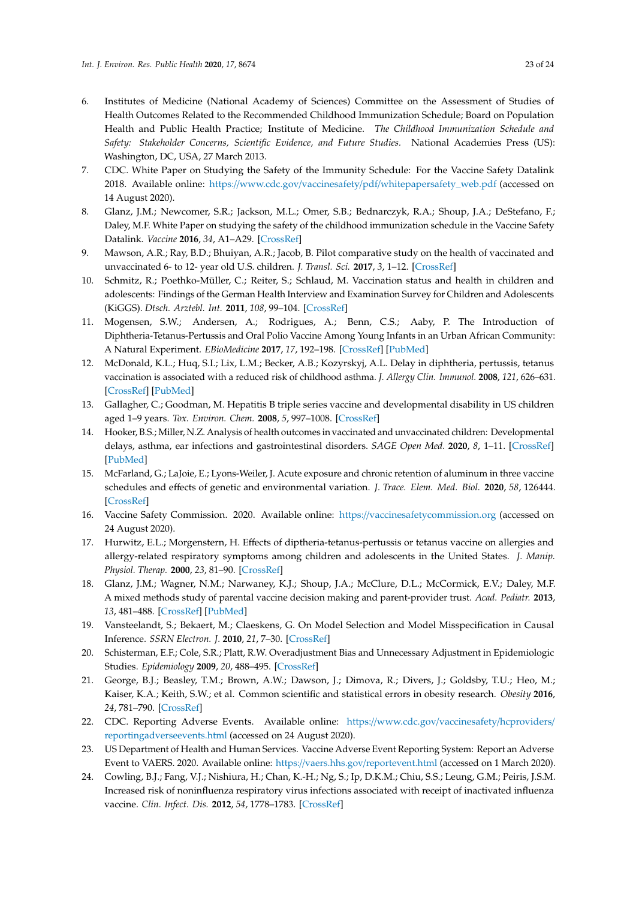- <span id="page-22-0"></span>6. Institutes of Medicine (National Academy of Sciences) Committee on the Assessment of Studies of Health Outcomes Related to the Recommended Childhood Immunization Schedule; Board on Population Health and Public Health Practice; Institute of Medicine. *The Childhood Immunization Schedule and Safety: Stakeholder Concerns, Scientific Evidence, and Future Studies.* National Academies Press (US): Washington, DC, USA, 27 March 2013.
- <span id="page-22-1"></span>7. CDC. White Paper on Studying the Safety of the Immunity Schedule: For the Vaccine Safety Datalink 2018. Available online: https://www.cdc.gov/vaccinesafety/pdf/[whitepapersafety\\_web.pdf](https://www.cdc.gov/vaccinesafety/pdf/whitepapersafety_web.pdf) (accessed on 14 August 2020).
- <span id="page-22-2"></span>8. Glanz, J.M.; Newcomer, S.R.; Jackson, M.L.; Omer, S.B.; Bednarczyk, R.A.; Shoup, J.A.; DeStefano, F.; Daley, M.F. White Paper on studying the safety of the childhood immunization schedule in the Vaccine Safety Datalink. *Vaccine* **2016**, *34*, A1–A29. [\[CrossRef\]](http://dx.doi.org/10.1016/j.vaccine.2015.10.082)
- <span id="page-22-3"></span>9. Mawson, A.R.; Ray, B.D.; Bhuiyan, A.R.; Jacob, B. Pilot comparative study on the health of vaccinated and unvaccinated 6- to 12- year old U.S. children. *J. Transl. Sci.* **2017**, *3*, 1–12. [\[CrossRef\]](http://dx.doi.org/10.15761/JTS.1000186)
- <span id="page-22-4"></span>10. Schmitz, R.; Poethko-Müller, C.; Reiter, S.; Schlaud, M. Vaccination status and health in children and adolescents: Findings of the German Health Interview and Examination Survey for Children and Adolescents (KiGGS). *Dtsch. Arztebl. Int.* **2011**, *108*, 99–104. [\[CrossRef\]](http://dx.doi.org/10.3238/arztebl.2011.0099)
- <span id="page-22-5"></span>11. Mogensen, S.W.; Andersen, A.; Rodrigues, A.; Benn, C.S.; Aaby, P. The Introduction of Diphtheria-Tetanus-Pertussis and Oral Polio Vaccine Among Young Infants in an Urban African Community: A Natural Experiment. *EBioMedicine* **2017**, *17*, 192–198. [\[CrossRef\]](http://dx.doi.org/10.1016/j.ebiom.2017.01.041) [\[PubMed\]](http://www.ncbi.nlm.nih.gov/pubmed/28188123)
- <span id="page-22-6"></span>12. McDonald, K.L.; Huq, S.I.; Lix, L.M.; Becker, A.B.; Kozyrskyj, A.L. Delay in diphtheria, pertussis, tetanus vaccination is associated with a reduced risk of childhood asthma. *J. Allergy Clin. Immunol.* **2008**, *121*, 626–631. [\[CrossRef\]](http://dx.doi.org/10.1016/j.jaci.2007.11.034) [\[PubMed\]](http://www.ncbi.nlm.nih.gov/pubmed/18207561)
- <span id="page-22-7"></span>13. Gallagher, C.; Goodman, M. Hepatitis B triple series vaccine and developmental disability in US children aged 1–9 years. *Tox. Environ. Chem.* **2008**, *5*, 997–1008. [\[CrossRef\]](http://dx.doi.org/10.1080/02772240701806501)
- <span id="page-22-8"></span>14. Hooker, B.S.; Miller, N.Z. Analysis of health outcomes in vaccinated and unvaccinated children: Developmental delays, asthma, ear infections and gastrointestinal disorders. *SAGE Open Med.* **2020**, *8*, 1–11. [\[CrossRef\]](http://dx.doi.org/10.1177/2050312120925344) [\[PubMed\]](http://www.ncbi.nlm.nih.gov/pubmed/32537156)
- <span id="page-22-9"></span>15. McFarland, G.; LaJoie, E.; Lyons-Weiler, J. Acute exposure and chronic retention of aluminum in three vaccine schedules and effects of genetic and environmental variation. *J. Trace. Elem. Med. Biol.* **2020**, *58*, 126444. [\[CrossRef\]](http://dx.doi.org/10.1016/j.jtemb.2019.126444)
- <span id="page-22-10"></span>16. Vaccine Safety Commission. 2020. Available online: https://[vaccinesafetycommission.org](https://vaccinesafetycommission.org) (accessed on 24 August 2020).
- <span id="page-22-11"></span>17. Hurwitz, E.L.; Morgenstern, H. Effects of diptheria-tetanus-pertussis or tetanus vaccine on allergies and allergy-related respiratory symptoms among children and adolescents in the United States. *J. Manip. Physiol. Therap.* **2000**, *23*, 81–90. [\[CrossRef\]](http://dx.doi.org/10.1016/S0161-4754(00)90072-1)
- <span id="page-22-12"></span>18. Glanz, J.M.; Wagner, N.M.; Narwaney, K.J.; Shoup, J.A.; McClure, D.L.; McCormick, E.V.; Daley, M.F. A mixed methods study of parental vaccine decision making and parent-provider trust. *Acad. Pediatr.* **2013**, *13*, 481–488. [\[CrossRef\]](http://dx.doi.org/10.1016/j.acap.2013.05.030) [\[PubMed\]](http://www.ncbi.nlm.nih.gov/pubmed/24011751)
- <span id="page-22-13"></span>19. Vansteelandt, S.; Bekaert, M.; Claeskens, G. On Model Selection and Model Misspecification in Causal Inference. *SSRN Electron. J.* **2010**, *21*, 7–30. [\[CrossRef\]](http://dx.doi.org/10.2139/ssrn.1713126)
- <span id="page-22-14"></span>20. Schisterman, E.F.; Cole, S.R.; Platt, R.W. Overadjustment Bias and Unnecessary Adjustment in Epidemiologic Studies. *Epidemiology* **2009**, *20*, 488–495. [\[CrossRef\]](http://dx.doi.org/10.1097/EDE.0b013e3181a819a1)
- <span id="page-22-15"></span>21. George, B.J.; Beasley, T.M.; Brown, A.W.; Dawson, J.; Dimova, R.; Divers, J.; Goldsby, T.U.; Heo, M.; Kaiser, K.A.; Keith, S.W.; et al. Common scientific and statistical errors in obesity research. *Obesity* **2016**, *24*, 781–790. [\[CrossRef\]](http://dx.doi.org/10.1002/oby.21449)
- <span id="page-22-16"></span>22. CDC. Reporting Adverse Events. Available online: https://[www.cdc.gov](https://www.cdc.gov/vaccinesafety/hcproviders/reportingadverseevents.html)/vaccinesafety/hcproviders/ [reportingadverseevents.html](https://www.cdc.gov/vaccinesafety/hcproviders/reportingadverseevents.html) (accessed on 24 August 2020).
- <span id="page-22-17"></span>23. US Department of Health and Human Services. Vaccine Adverse Event Reporting System: Report an Adverse Event to VAERS. 2020. Available online: https://vaers.hhs.gov/[reportevent.html](https://vaers.hhs.gov/reportevent.html) (accessed on 1 March 2020).
- <span id="page-22-18"></span>24. Cowling, B.J.; Fang, V.J.; Nishiura, H.; Chan, K.-H.; Ng, S.; Ip, D.K.M.; Chiu, S.S.; Leung, G.M.; Peiris, J.S.M. Increased risk of noninfluenza respiratory virus infections associated with receipt of inactivated influenza vaccine. *Clin. Infect. Dis.* **2012**, *54*, 1778–1783. [\[CrossRef\]](http://dx.doi.org/10.1093/cid/cis307)